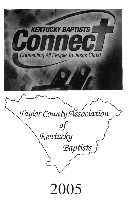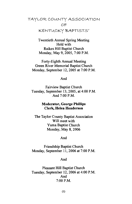# TAYLOR COUNTY ASSOCIATION<br>OF<br>KENTUCKY BAPTISTS'

**Twentieth Annual Spring Meeting** Held with Raikes Hill Baptist Church Monday, May 9, 2005, 7:00 P.M.

Forty-Eighth Annual Meeting Green River Memorial Baptist Church Monday, September 12, 2005 at 7:00 P.M.

And

**Fairview Baptist Church** Tuesday, September 13, 2005, at 4:00 P.M. And 7:00 P.M.

## **Moderator, George Phillips** Clerk, Helen Henderson

The Taylor County Baptist Association Will meet with Yuma Baptist Church Monday, May 8, 2006

#### And

Friendship Baptist Church Monday, September 11, 2006 at 7:00 P.M.

And

Pleasant Hill Baptist Church Tuesday, September 12, 2006 at 4:00 P.M. And  $7:00$  P.M.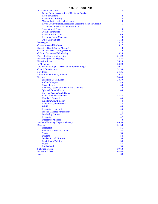## **TABLE OF CONTENTS**

| <b>Association Directory</b>                                  | $1 - 12$         |
|---------------------------------------------------------------|------------------|
| <b>Taylor County Association of Kentucky Baptists</b>         | 1                |
| <b>Table of Contents</b>                                      | $\overline{2}$   |
| <b>Association Directory</b>                                  | $\overline{3}$   |
| <b>Mission Projects of Taylor County</b>                      | $\overline{4}$   |
| Taylor County Baptist Association Elected to Kentucky Baptist | 5                |
| <b>Convention Boards and Institutions</b>                     |                  |
| <b>Associational Teams</b>                                    | 6                |
| <b>Ordained Ministers</b>                                     | 7                |
| <b>Associational Pastors</b>                                  | 8-9              |
| <b>Executive Board Members</b>                                | 10               |
| <b>Other Church Staff</b>                                     | $11 - 12$        |
| <b>Messengers</b>                                             | $13 - 14$        |
| <b>Constitution and By-Laws</b>                               | $15-17$          |
| <b>Executive Board Annual Meeting</b>                         | 18               |
| <b>Order of Business-Spring Meeting</b>                       | 19               |
| <b>Order of Business-Fall Meeting</b>                         | $19 - 20$        |
| <b>Proceeding for Spring Meeting</b>                          | $21 - 22$        |
| <b>Proceeding for Fall Meeting</b>                            | $22 - 26$        |
| <b>Historical Events</b>                                      | $26 - 28$        |
| In Memoriam                                                   | 28-29            |
| <b>Taylor County Baptist Association Proposed Budget</b>      | $30 - 31$        |
| <b>Church Contributions</b>                                   | $32 - 33$        |
| <b>Map Insert</b>                                             | 34-35            |
| Letter from Nickolai Syrovatko                                | $36 - 37$        |
| <b>Reports</b>                                                | 38-48            |
| <b>Executive Board Report</b>                                 | 38-39            |
| <b>Auditor's Report</b>                                       | 40               |
| <b>Chapel Report</b>                                          | 40               |
| Kentucky League on Alcohol and Gambling                       | 40               |
| <b>Spiritual Growth Report</b>                                | 40               |
| <b>Christian Women's Job Corps</b>                            | 41               |
| <b>Baptist Campus Ministries</b>                              | $42 - 43$        |
| <b>Heartland Outreach</b>                                     | 43               |
| <b>Kingdom Growth Report</b>                                  | 44               |
| Time, Place, and Preacher                                     | 45               |
| <b>WMU</b>                                                    | 45               |
| <b>Resolutions Committee</b>                                  | 46               |
|                                                               | 46               |
| <b>Federal Marriage Amendment</b>                             | 47               |
| <b>Leadership Growth</b><br><b>Resolution</b>                 |                  |
| <b>Director of Missions</b>                                   | 47<br>48         |
|                                                               | 49-50            |
| Southern Kentucky Hispanic Ministry                           |                  |
| Directors                                                     | $51 - 58$        |
| <b>Treasurers</b>                                             | 51<br>52         |
| <b>Women's Missionary Union</b>                               |                  |
| <b>Clerks</b>                                                 | 53               |
| <b>Deacons</b>                                                | 54               |
| <b>Sunday School Directors</b>                                | 55               |
| <b>Discipleship Training</b>                                  | 56               |
| <b>Music</b>                                                  | 57               |
| <b>Brotherhood</b><br><b>Statistical Tables</b>               | 58               |
|                                                               | $59-63$<br>64-68 |
| <b>Historical Tables</b><br><b>Index</b>                      | 69               |
|                                                               |                  |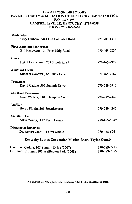## **ASSOCIATION DIRECTORY** TAYLOR COUNTY ASSOCIATION OF KENTUCKY BAPTIST OFFICE **P.O. BOX 298** CAMPBELLSVILLE, KENTUCKY 42719-0298 PHONE 270-465-5600

| Moderator                                              |              |
|--------------------------------------------------------|--------------|
| Gary Durham, 3441 Old Columbia Road                    | 270-789-1401 |
| <b>First Assistant Moderator</b>                       |              |
| Bill Henderson, 31 Friendship Road                     | 270-469-9809 |
| <b>Clerk</b>                                           |              |
| Helen Henderson, 279 Shiloh Road                       | 270-465-8998 |
| <b>Assistant Clerk</b>                                 |              |
| Michael Goodwin, 65 Linda Lane                         | 270-465-4169 |
|                                                        |              |
| <b>Treasurer</b><br>David Gaddie, 305 Summit Drive     | 270-789-2913 |
|                                                        |              |
| <b>Assistant Treasurer</b>                             |              |
| Dave Walters, 1103 Hampton Court                       | 270-789-2449 |
| <b>Auditor</b>                                         |              |
| Henry Pippin, 301 Steeplechase                         | 270-789-4245 |
| <b>Assistant Auditor</b>                               |              |
| Allen Young, 112 Pearl Avenue                          | 270-465-8249 |
|                                                        |              |
| Director of Missions                                   |              |
| Dr. Robert Clark, 115 Wakefield                        | 270-465-6261 |
| $\mathbf{v}$ , and the second contract of $\mathbf{v}$ |              |

## Kentucky Baptist Convention Mission Board Taylor County

| David W. Gaddie, 305 Summit Drive (2007)       | 270-789-2913 |
|------------------------------------------------|--------------|
| Dr. James E. Jones, 101 Wellington Park (2008) | 270-789-2055 |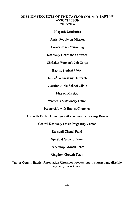#### MISSION PROJECTS OF THE TAYLOR COUNTY BAPTIST **ASSOCIATION** 2005-2006

**Hispanic Ministries** 

**Assist People on Mission** 

**Cornerstone Counseling** 

Kentucky Heartland Outreach

Christian Women's Job Corps

**Baptist Student Union** 

July 4<sup>th</sup> Witnessing Outreach

Vacation Bible School Clinic

Men on Mission

Women's Missionary Union

Partnership with Baptist Churches

And with Dr. Nickolai Syrovatka in Saint Petersburg Russia

Central Kentucky Crisis Pregnancy Center

Ransdall Chapel Fund

Spiritual Growth Team

Leadership Growth Team

Kingdom Growth Team

Taylor County Baptist Association Churches cooperating to connect and disciple people to Jesus Christ.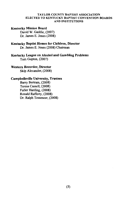#### **TAYLOR COUNTY BAPTIST ASSOCIATION** ELECTED TO KENTUCKY BAPTIST CONVENTION BOARDS **AND INSTITUTIONS**

## **Kentucky Mission Board**

David W. Gaddie, (2007) Dr. James E. Jones (2008)

## Kentucky Baptist Homes for Children, Director

Dr. James E. Jones (2008) Chairman

Kentucky League on Alcohol and Gambling Problems Tom Gupton, (2007)

## **Western Recorder, Director**

Skip Alexander, (2008)

## **Campbellsville University, Trustees**

Barry Bertram, (2008) Teresa Cassell, (2008) Fuller Harding, (2008) Ronald Rafferty, (2008) Dr. Ralph Tesseneer, (2008)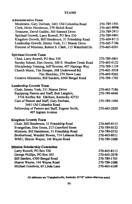## **TEAMS**

| Administrative Team                                      |              |
|----------------------------------------------------------|--------------|
| Moderator, Gary Durham, 3441 Old Columbia Road           | 270-789-1401 |
| Clerk, Helen Henderson, 279 Shiloh Road                  | 270-465-8998 |
| Treasurer, David Gaddie, 305 Summit Drive                | 270-789-2913 |
| Spiritual Growth, Larry Rowell, PO Box 530               | 270-789-4801 |
| Kingdom Growth, Bill Henderson, 31 Friendship Road       | 270-469-8115 |
| Leadership Growth, Jimmy York, 311 Sharon Drive          | 270-465-7186 |
| Director of Missions, Robert S. Clark, 115 Wakefield Dr. | 270-465-6261 |
| <b>Spiritual Growth Team</b>                             |              |
| Chair, Larry Rowell, PO Box 530                          | 270-789-4801 |
| Sunday School, Don Gowin, 500 E. Meadow Creek Road       | 270-465-0122 |
| Discipleship Training, Jeff Newton, 407 Hastings Way     | 270-789-1139 |
| Church Music, Tim Hooper, 308 Underwood Rd.              | 270-465-5938 |
| Tim Shockley, 274 Snow Lane                              | 270-469-9262 |
| Creative Ministries, Bill Sanders, 6300 Bengal Road      | 270-789-1705 |
| <b>Leadership Growth Team</b>                            |              |
| Chair, Jimmy York, 311 Sharon Drive                      | 270-465-7186 |
| Equipping Pastors and Staff, Bob Langlois,               | 270-789-6646 |
| 5716 Knifley Rd. ElkHorn, Kentucky 42733                 |              |
| Care of Pastors and Staff, Gary Durham,                  | 270-789-1404 |
| 3441 Old Columbia Road                                   |              |
| Fellowship of Pastors and Staff, Eugene Smith,           | 270-465-2820 |
| 407 Ingram Avenue                                        |              |
| <b>Kingdom Growth Team</b>                               |              |
| Chair, Bill Henderson, 31 Friendship Road                | 270-469-8115 |
| Evangelism, Don Green, 213 Crawford Street               | 270-789-0532 |
| Missions, Bill Henderson, 31 Friendship Road             | 270-789-0532 |
| Brotherhood, Wendell Bowen, 714 Lebanon Road             | 270-465-8011 |
| WMU, Sharon Wayne, 146 Wayne Road                        | 270-789-1088 |
| <b>Mission Scholarship Committee</b>                     |              |
| Larry Rowell, PO Box 530                                 | 270-465-8115 |
| George Phillips, PO Box 303                              | 270-465-2078 |
| Bill Sanders, 6300 Bengal Road                           | 270-789-1705 |
| Sharon Wayne, 146 Wayne Road                             | 270-789-1088 |
| Michael Goodwin, 65 Linda Lane                           | 270-465-4169 |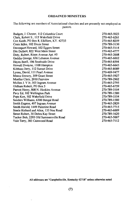#### **ORDAINED MINISTERS**

The following are members of Associational churches and are presently not employed as pastors.

| Badgett, J. Chester, 112 Columbia Court | 270-465-5023 |
|-----------------------------------------|--------------|
| Clark, Robert S., 115 Wakefield Drive   | 270-465-6261 |
| Cox Keith, PO Box 8, ElkHorn, KY. 42733 | 270-465-8209 |
| Crain Mike, 102 Druin Street            | 270-789-3130 |
| Davenport Howard, 102 Eggers Street     | 270-465-5114 |
| Dix Delbert, 822 West Main Street       | 270-465-4777 |
| Doty, Robert, Risen Avenue Apt. #5      | 270-465-2008 |
| Gaddie George, 636 Lebanon Avenue       | 270-465-6002 |
| Hayes Buell, 106 Southside Drive        | 270-465-8594 |
| Howell Dwayne, 1108 Hampton             | 270-465-6643 |
| Kibbons Jerry, 112 Sunset Drive         | 270-465-8089 |
| Lyons, David, 111 Pearl Avenue          | 270-469-9477 |
| Meece Drewry, 309 Grant Street          | 270-465-5927 |
| Mueller Chris, 2010 Fairview            | 270-789-2902 |
| Mullen J. V Jr, 303 Ingram Avenue       | 270-465-2795 |
| Oldham Robert, PO Box 5                 | 270-465-6759 |
| Parrott Henry, 808 N. Hoskins Avenue    | 270-789-3104 |
| Pavy Ed, 102 Wellington Park            | 270-789-1580 |
| Pope Ken, 102 Wakefield Drive           | 270-789-3354 |
| Sanders Williams, 6300 Bengal Road      | 270-789-1580 |
| Smith Eugene, 407 Ingram Avenue         | 270-465-2820 |
| Smith Harold, 1449 Palestine Road       | 270-465-7715 |
| Steele Richard and Alice, 133 Noe Road  | 270-465-6009 |
| Street Robert, 30 Debra Kay Street      | 270-789-1620 |
| Tucker Bob, 2293 Old Summersville Road  | 270-465-5007 |
| Vale Terry, 383 Cainwood Road           | 270-465-7112 |
|                                         |              |

All addresses are "Campbellsville, Kentucky 42718" unless otherwise noted

 $\ddot{\phantom{0}}$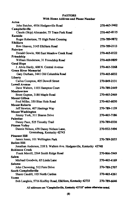#### **PASTORS** With Home Address and Phone Number

| Acton                                                              |              |
|--------------------------------------------------------------------|--------------|
| John Batcher, 4936 Hodgenville Road                                | 270-465-3462 |
| <b>Campbellsville</b>                                              |              |
| Claude (Skip) Alexander, 75 Trace Fork Road                        | 270-465-8115 |
| <b>Eastside</b>                                                    |              |
| Roger Robertson, 75 High Point Crossing                            | 270-789-9872 |
| ElkHorn                                                            |              |
| Ron Gleaves, 3145 ElkHorn Road                                     | 270-789-2113 |
| <b>Fairview</b><br>Donald Gowin, 500 East Meadow Creek Road        | 270-465-0122 |
| Friendship                                                         |              |
| William Henderson, 31 Friendship Road                              | 270-469-9809 |
| Good Hope                                                          |              |
| J. Alvin Hardy, 608 N. Central Avenue                              | 270-465-3268 |
| <b>Green River Memorial</b>                                        |              |
| Gary Durham, 3441 Old Columbia Road                                | 270-465-6032 |
| Liberty                                                            |              |
| Carlos Compton, 405 Dowell Street                                  | 270-849-2131 |
| Lowell Avenue                                                      |              |
| Dave Walters, 1103 Hampton Court                                   | 270-789-2449 |
| Meadowview                                                         |              |
| Brent Gupton, 3180 Maple Road                                      | 270-465-2469 |
| <b>Mount Gilboa</b>                                                |              |
| Fred Miller, 350 Blue Hole Road                                    | 270-465-6050 |
| <b>Mount Roberts</b>                                               | 270-789-1139 |
| Jeff Newton, 407 Hastings Way<br><b>Mount Washington</b>           |              |
| Jimmy York, 311 Sharon Drive                                       | 270-465-7186 |
| Palestine                                                          |              |
| Danny Pace, 525 Timothy Trail                                      | 270-789-0330 |
| Pitman Valley                                                      |              |
| Dannie Nelson, 670 Danny Nelson Lane,                              | 270-932-5494 |
| Greensburg, Kentucky 42743                                         |              |
| Pleasant Hill                                                      |              |
| James Jones, 101 Wellington Park                                   | 270-789-2055 |
| Raikes Hill                                                        |              |
| Jonathan Anderson, 218 S. Walters Ave. Hodgenville, Kentucky 42748 |              |
| Robinson Creek                                                     |              |
| Frank Merrill, 2564 Smith Ridge Road                               | 270-866-5949 |
| Salem                                                              |              |
| Michael Goodwin, 65 Linda Lane                                     | 270-465-4169 |
| Saloma                                                             |              |
| John Chowning, 512 Fern Drive                                      | 270-789-2707 |
| South Campbellsville                                               |              |
| Shaun Caudill, 103 North Cardon                                    | 270-465-4261 |
| Yuma<br>Bob Langlois, 5716 Knifley Road, ElkHorn, Kentucky 42733   | 270-789-6646 |
|                                                                    |              |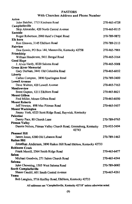## **PASTORS** With Churches Address and Phone Number

| Acton                                                                   |              |
|-------------------------------------------------------------------------|--------------|
| John Batcher, 1715 Kindness Road                                        | 270-465-4728 |
| Campbellsville                                                          |              |
| Skip Alexander, 420 North Central Avenue                                | 270-465-8115 |
| Eastside                                                                |              |
| Roger Robertson, 2900 Reid's Chapel Road                                | 270-789-9872 |
| Elk horn                                                                |              |
| Ron Gleaves, 3145 ElkHorn Road                                          | 270-789-2113 |
| Fairview                                                                |              |
| Don Gowin, PO Box 144, Mannsville, Kentucky 42758                       | 270-465-7901 |
| Friendship                                                              |              |
| William Henderson, 5411 Bengal Road                                     | 270-465-3164 |
| Good Hope                                                               |              |
| J. Alvin Hardy, 8320 Saloma Road                                        | 270-465-5008 |
| <b>Green River Memorial</b>                                             |              |
| Gary Durham, 3441 Old Columbia Road                                     | 270-465-6032 |
| Liberty                                                                 |              |
| Carlos Compton, 3890 Spurlington Road                                   | 270-789-3400 |
| <b>Lowell Avenue</b>                                                    | 270-465-7163 |
| Dave Walters, 420 Lowell Avenue                                         |              |
| Meadowview                                                              | 270-465-8621 |
| Brent Gupton, 1211 ElkHorn Road<br><b>Mount Gilboa</b>                  |              |
| Fred Miller, Mount Gilboa Road                                          | 270-465-6050 |
| <b>Mount Roberts</b>                                                    |              |
| Jeff Newton, 898 Mac Pittman Road                                       | 270-465-5457 |
| <b>Mount Washington</b>                                                 |              |
| Jimmy York, 6325 Scott Ridge Road, Raywick, Kentucky                    |              |
| Palestine                                                               |              |
| Danny Pace, 80 Church Lane                                              | 270-789-0765 |
| Pitman Valley                                                           |              |
| Dannie Nelson, Pitman Valley Church Road, Greensburg, Kentucky<br>42743 | 270-932-5494 |
| Pleasant Hill                                                           |              |
| James Jones, 6380 Old Lebanon Road                                      | 270-789-1462 |
| Raikes Hill                                                             |              |
| Jonathan Anderson, 3890 Raikes Hill Road ElkHom, Kentucky 42733         |              |
| Robinson Creek                                                          |              |
| Frank Merrill, 2564 Smith Ridge Road                                    | 270-465-6477 |
| Salem                                                                   |              |
| Michael Goodwin, 271 Salem Church Road                                  | 270-465-4544 |
| Saloma                                                                  |              |
| John Chowning, 1505 West Saloma Road                                    | 270-789-0082 |
| South Campbellsville                                                    |              |
| Shaun Caudill, 601 South Central Avenue                                 | 270-465-4261 |
| Yuma                                                                    |              |
| Bob Langlois, 5716 Knifley Road, ElkHorn, Kentucky 42733                |              |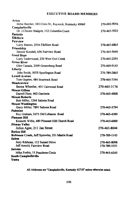## **EXECUTIVE BOARD MEMBERS**

| Acton                                                  |              |
|--------------------------------------------------------|--------------|
| Billie Batcher, 103 Cross St., Raywick, Kentucky 40060 | 270-692-9056 |
| Campbellsville                                         |              |
| Dr. J.Chester Badgett, 112 Columbia Court              | 270-465-5023 |
| <b>Eastside</b>                                        |              |
| <b>ElkHorn</b>                                         |              |
| Fairview                                               |              |
| Larry Barnes, 2534 ElkHorn Road                        | 270-465-6865 |
| Friendship                                             |              |
| Jimmie Kendall, 656 Fairview Road                      | 270-465-5640 |
| <b>Good Hope</b>                                       |              |
| Larry Underwood, 250 West Owl Creek                    | 270-465-2293 |
| <b>Green River</b>                                     |              |
| Glen Canada, 2509 Greensburg Road                      | 270-469-9143 |
| Liberty                                                |              |
| John Smith, 5075 Spurlington Road                      | 270-789-2865 |
| <b>Lowell Avenue</b>                                   |              |
| Tom Gupton, 484 Beartrack Road                         | 270-465-7394 |
| Meadowview                                             |              |
| Berna Wheeler, 401 Cainwood Road                       | 270-465-3176 |
| <b>Mount Gilboa</b>                                    |              |
| Darrell Hunt, 902 Gardenia                             | 270-465-4808 |
| <b>Mount Roberts</b>                                   |              |
| Bob Milby, 1244 Saloma Road                            |              |
| <b>Mount Washington</b>                                |              |
| Garry Miller, 7891 Saloma Road                         | 270-465-3794 |
| <b>Palestine</b>                                       |              |
| Roy Graham, 2471 Old Lebanon Road                      | 270-465-4389 |
| <b>Pleasant Hill</b>                                   |              |
| Kenneth Willis, 489 Pleasant Hill Church Road          | 270-465-6000 |
| <b>Pitman Valley</b>                                   |              |
| Julius Agee, 211 Jan Street                            | 270-465-8044 |
| Raikes Hill                                            |              |
| Robinson Creek, Jeff Sprowles, 551 Martin Road         | 270-789-1143 |
| Salem                                                  |              |
| Jerry Kibbons, 112 Sunset Drive                        | 270–465-8098 |
| Jeff Arnold, Fairview Road                             | 270-789-3351 |
| Saloma                                                 |              |
| Mike Forbis, 15 Peachtree Circle                       | 270-465-6245 |
| South Campbellsville                                   |              |
| Yuma                                                   |              |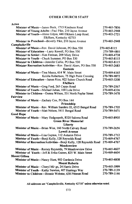## **OTHER CHURCH STAFF**

| Acton                                                            |              |
|------------------------------------------------------------------|--------------|
| Minister of Music—James Beck, 1715 Kindness Road                 | 270-465-7856 |
| Minister of Young Adults-Paul Pike, 210 Jayne Avenue             | 270-465-2948 |
| Minister of Youth-Alene Gilpin, 440 Elkhorn Loop Road,           | 270-403-2721 |
| ElkHorn, Kentucky 42733                                          |              |
| Minister to Preschool-Beverly Pike, 210 Jayne Avenue             | 270-465-2948 |
| Campbellsville                                                   |              |
| Minister of Music-Rev. David Johnson, PO Box 530                 | 270-465-8115 |
| Minister of Education-Larry Rowell, PO Box 530                   | 270-789-4801 |
| Minister to Senior-Ken Forman, 209 Misty Drive                   | 270-469-4738 |
| Minister to Youth-Chuck Summer, PO Box 530                       | 270-465-8115 |
| Minister to Children-Jennifer Collie, PO Box 530                 | 270-465-8115 |
| Minister Recreation/Activities-Rev. David Akers, PO Box 530      | 270-465-2683 |
| <b>Eastside</b>                                                  |              |
| Minister of Music-Tina Meece, 614 W. Main Street                 | 270-469-4165 |
| Keisha Robertson, 75 High Point Crossing                         | 270-789-9872 |
| Minister of Education-James Rice, 922 Salem Church Road          | 270-465-3208 |
| <b>ElkHorn</b>                                                   |              |
| Minister of Music-Greg Ford, 265 Capps Road                      | 270-789-2567 |
| Minister of Youth-Michael Julian, 100 Lula Drive                 | 270-469-4336 |
| Minister to Children---Donna Wilson, 531 North Poplar Street     | 270-789-3478 |
| <b>Fairview</b>                                                  |              |
| Minister of Music-Zachary Cox, PO Box 144                        |              |
| Friendship                                                       |              |
| Minister of Music-Rev. William Sanders III, 6515 Bengal Road     | 270-789-1705 |
| Minister of Youth-Matt Nelson, 5411 Bengal Road                  | 270-789-5471 |
| <b>Good Hope</b>                                                 |              |
| Minister of Music-Mary Hedgespeth, 8320 Saloma Road              | 270-465-8905 |
| <b>Green River Memorial</b>                                      |              |
| Liberty                                                          |              |
| Minister of Music-Brian Wise, 160 North Calvary Road             | 270-789-2656 |
| <b>Lowell Avenue</b>                                             |              |
| Minister of Music---Lisa Gupton, 112 Autumn Drive                | 270-789-1712 |
| Minister of Youth-Benji Kelly, 128 Reynolds Road                 | 270-469-4767 |
| Minister of Recreation/Activities-Benji Kelly, 128 Reynolds Road | 270-469-4767 |
| Meadowview                                                       |              |
| Minister of Music-Romey Reynolds, 79 Meadowview Drive            | 270-465-4607 |
| Minister of Youth-Jeff & Erika Gaines, 825 W. Main Street        | 270-469-4604 |
| <b>Mount Gilboa</b>                                              |              |
| Minister of Music-Nancy Hunt, 902 Gardenia Drive                 | 270-465-4808 |
| <b>Mount Roberts</b>                                             |              |
| Minister of Music-Cheryl Mings, 24 Harris Drive                  | 270-465-3999 |
| Minister of Youth-Kathy Newton, 407 Hastings Way                 | 270-789-1139 |
| Minister to Children-Bonnie Webster, 638 Pittman Road            | 270-789-1146 |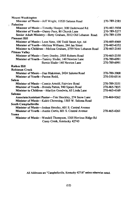| <b>Mount Washington</b>                                    |              |
|------------------------------------------------------------|--------------|
| Minister of Music-Jeff Wright, 10520 Saloma Road           | 270-789-2585 |
| Palestine                                                  |              |
| Minister of Music-Timothy Hooper, 308 Underwood Rd.        | 270-465-5938 |
| Minister of Youth—Danny Pace, 80 Church Lane               | 270-789-5277 |
| Senior Adult Ministry-Betty Graham, 3012 Old Lebanon Road. | 270-789-1359 |
| <b>Pleasant Hill</b>                                       |              |
| Minister of Music-- Leon Neto, 100 Todd Street Apt. A4     | 270-469-4969 |
| Minister of Youth—Melissa Williams, 244 Jan Street         | 270-465-6352 |
| Minister to Children-Melissa Graham, 2759 New Lebanon Road | 270-465-2140 |
| <b>Pitman Valley</b>                                       |              |
| Minister of Music-Terry Dooley, 2505 Roberts Road          | 270-465-2350 |
| Minister of Youth—Tammy Sluder, 140 Newton Lane            | 270-789-6991 |
| Bernie Sluder 140 Newton Lane                              | 270-789-6991 |
| <b>Raikes Hill</b>                                         |              |
| <b>Robinson Creek</b>                                      |              |
| Minister of Music—Dan Blakeman, 2424 Saloma Road           | 270-789-3908 |
| Minister of Youth—Paxton Redd.                             | 270-350-0516 |
| Salem                                                      |              |
| Minister of Music-Connie Arnold, Fairview Road             | 270-789-3351 |
| Minister of Youth-Brenda Patton, 940 Spears Road           | 270-465-7835 |
| Minister to Children—Marilyn Goodwin, 65 Linda Lane        | 270-465-4169 |
| Saloma                                                     |              |
| Associate/Assistant Pastor—Tim Shockley, 274 Snow Lane     | 270-469-9262 |
| Minister of Music-Kaleb Chowning, 1505 W. Saloma Road      |              |
| <b>South Campbellsville</b>                                |              |
| Minister of Music—Joshua Hensley, 601 S. Central Avenue    |              |
| Minister of Youth—Austin Curtis, 601 S. Central Avenue     | 270-465-4261 |
| Yuma                                                       |              |
| Minister of Music-Wendell Thompson, 1305 Hovious Ridge Rd  |              |
| Casey Creek, Kentucky 42743                                |              |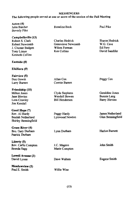#### **MESSENGERS**

## The following people served at one or more of the session of the Fall Meeting

| Acton (4)<br>John Batcher<br><b>Beverly Pike</b>                                                                                      | Rosaline Beck                                                              | Paul Pike                                                     |
|---------------------------------------------------------------------------------------------------------------------------------------|----------------------------------------------------------------------------|---------------------------------------------------------------|
| Campbellsville (13)<br>Robert S. Clark<br><b>Robert Newcomb</b><br>J. Chester Badgett<br><b>Tony Liston</b><br><b>Kenneth Collins</b> | Charles Hedrick<br>Genevieve Newcomb<br>Wiken Forman<br><b>Ken Collins</b> | Sharon Hedrick<br>W.G. Cave<br>Ed Pavy<br>David Sandifer      |
| Eastside (0)                                                                                                                          |                                                                            |                                                               |
| ElkHorn (0)                                                                                                                           |                                                                            |                                                               |
| Fairview (5)<br>Don Gowin<br><b>Larry Barnes</b>                                                                                      | Allan Cox<br><b>Connie Barnes</b>                                          | Peggy Cox                                                     |
| Friendship (10)<br><b>Milton Jones</b><br>Jane Blevins<br>Lora Crawley<br>Jim Kendall                                                 | Clyde Stephens<br>Wendell Bowen<br><b>Bill Henderson</b>                   | Geraldine Jones<br><b>Bonnie Lang</b><br><b>Barry Blevins</b> |
| Good Hope (7)<br>Rev. Al Hardy<br><b>Beulah Netherland</b><br>Shirley Benningfield                                                    | Peggy Hardy<br>Lynwood Newton                                              | James Netherland<br>Glen Benningfield                         |
| Green River (4)<br>Bro. Gary Durham<br>Patrick Durham                                                                                 | Lynn Durham                                                                | <b>Harlon Barnett</b>                                         |
| Liberty (5)<br>Rev. Carlis Compton<br>Brenda Sapp                                                                                     | J.C. Magero<br>Marie Compton                                               | John Smith                                                    |
| Lowell Avenue (3)<br>David Lyons                                                                                                      | Dave Walters                                                               | Eugene Smith                                                  |
| <b>Meadowview (2)</b><br>Paul E. Smith                                                                                                | Willie Wise                                                                |                                                               |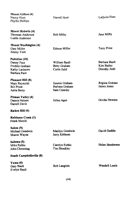| Mount Gilboa (4)<br>Nancy Hunt<br><b>Phyllis Phillips</b>                        | Darrell Hunt                                        | LaQuita Hunt                                |
|----------------------------------------------------------------------------------|-----------------------------------------------------|---------------------------------------------|
| Mount Roberts (4)<br>Therman Anderson<br>Luella Anderson                         | <b>Bob Milby</b>                                    | Jane Milby                                  |
| <b>Mount Washington (4)</b><br>Gary Miller<br>Jimmy York                         | Edmon Miller                                        | Terry Price                                 |
| Palestine (10)<br>Danny Pace<br>Freddie Graham<br>Kathy Larimore<br>Barbara Pace | William Bault<br><b>Betty Graham</b><br>Curtis Judd | Barbara Bault<br>Kim Bailey<br>Dorothy Judd |
| Pleasant Hill (8)<br>Mary Reynolds<br><b>Bill Pruitt</b><br>Anita Berry          | Jimmie Graham<br>Barbara Graham<br>Sam Crawley      | Regina Graham<br>James Jones                |
| Pitman Valley (4)<br>Dannie Nelson<br>Darrell Davis                              | Julius Agee                                         | Orville Newton                              |
| Raikes Hill (0)                                                                  |                                                     |                                             |
| <b>Robinson Creek (1)</b><br>Frank Merrill                                       |                                                     |                                             |
| Salem (5)<br>Michael Goodwin<br>Sharon Wayne                                     | Marilyn Goodwin<br>Jerry Kibbons                    | David Gaddie                                |
| Saloma (5)<br>Mike Forbis<br><b>John Chowning</b>                                | Carolyn Forbis<br><b>Tim Shockley</b>               | Helen Henderson                             |
| South Campbellsville (0)                                                         |                                                     |                                             |
| Yuma (4)<br><b>Gary Bault</b><br>Evelyn Bault                                    | <b>Bob Langlois</b>                                 | <b>Wendell Lewis</b>                        |
|                                                                                  | (14)                                                |                                             |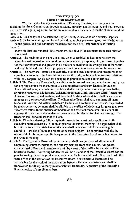## **CONSTITUTION**

### **Mission Statement/Preamble**

We, the Taylor County Association of Kentucky Baptists, shall cooperate in fulfilling the Great Commission through missions, ministry, and fellowship; and shall serve as a resource and equipping center for the churches and as a liaison between the churches and the association.

Article 1. This body shall be called the Taylor County Association of Kentucky Baptists.

Article 2. Each cooperating church shall be entitled to four (4) messengers, one of whom shall be the pastor, and one additional messenger for each fifty (50) members or fraction thereof.

above the first one hundred (100) members, plus four (4) messengers from each mission sponsored.

- Article 3. The business of this body shall be, when assembled, to hear reports from the churches with regard to their condition as to members, prosperity, etc., to consult together for their development and growth in all matters pertaining to the evangelism of the world, and shall hold and control such property as shall come into possession of the association.
- Article 4. The body shall exercise no authority over the local churches, and recognizes their complete autonomy. The Association reserves the right, as final action, to sever relations with any cooperating church for engaging in practices not considered Biblical.
- Article 5, The Executive Team shall, in addition to the annual meeting, select a time and place for a spring session for the purpose of electing officers and team leaders for the next Associational year, at which time the body shall elect by nomination and private ballot, or raising hand vote: Moderator; Assistant Moderator; Clerk; Assistant Clerk; Treasurer; Assistant Treasurer; and Auditor; and Assistant Auditor whose duties shall be as custom imposes on their respective offices. The Executive Team shall also nominate all team leaders at this time. All officers and team leaders shall continue in office until superseded by their successor, but none shall be eligible to the office of Moderator for more than two successive terms. In the absence of moderator and assistant moderator, the clerk shall convene the meeting and a moderator pro tem shall be elected for that one meeting. The treasurer shall serve in absence of clerk.
- Article 6. Churches desiring fellowship in the association must make application to the executive board at least  $six(6)$  months prior to the annual meeting. The application shall be referred to a Credentials Committee who shall be responsible for examining the church's articles of faith and record of mission support. The committee will also be responsible for bringing a preliminary report to the Executive Board and a final report to the Annual Meeting.
- Article 7. The Executive Board of the Association shall be composed of all pastors of cooperating churches, missions, and one lay member from each church. All general associational officers and team leaders will by virtue of their office be members of the Executive Board. The retiring Moderator will be a member of the Executive Board for the year following his active service as a moderator. Each associational officer shall hold the same office in the sessions of the Executive Board. The Executive Board shall be responsible for the work of the association between the annual sessions and shall be empowered to fill any vacancy in associational leadership. A quorum of the Executive Board consists of nine (9) members.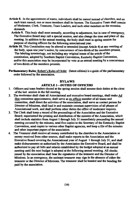- Article 8. In the appointment of teams, individuals shall be named instead of churches, and on each team named, one or more members shall be laymen. The Executive Team shall consist of Moderator, Clerk, Treasurer, Team Leaders, and such other members as the occasion demands.
	- Article 9. This body shall meet annually, according to adjustment, but in case of emergency, The Executive Board may call a special session, and also change the time and place of the meeting. In addition to the annual meeting, the body shall meet in spring session for purpose of electing officers for the following associational year.
- Article 10. This Constitution may be altered or amended (except Article 4) at any meeting of the body, upon one year's notice, by concurrence of two-thirds of the members present. The labeling terminology, not including any original intent of the article of the constitution, adopted by Southern Baptist Convention, Kentucky Baptist Convention, and/or this association may be incorporated by vote at an annual meeting by a concurrence of two-thirds of the members presents.
- Parliamentary Rules: Robert's Rules of Order (latest edition) is a guide of the parliamentary order followed by the association.

## **BYLAWS**

#### **ARTICLE 1-DUTIES OF OFFICERS**

- 1. Officers and team leaders elected at the spring session shall assume their duties at the close of the last session in the fall meeting.
- 2. The moderator shall chair all Associational and executive board meetings, shall make Ad Hoc committee appointments; shall serve as ex officio member of all teams and committee, shall direct the activities of the association, shall serve as contact person for Director of Missions, shall lead in and maintain constant supervision of all phases of Associational work, and shall perform other duties the office of moderator requires.
- 3. The Clerk shall keep a record of the proceedings of the Association and the Executive Board; superintend the printing and distribution of the minutes of the Association, which shall include statistics from August 1 through July 31 immediately proceeding the annual meeting covered by the minutes, send five copies to the Secretary of the Kentucky Baptist Convention, send copies to various other Baptist agencies, and keep a file of the minutes and other important papers of the association.
- The Treasurer shall receive all money contributed by the churches to the Association or  $4.$ money received from other sources, shall make reports to the Association and the Executive Board covering the Associational year of August 1 through July 31, and shall make disbursements as authorized by the Association the Executive Board, and shall be authorized to pay all bills and salaries established by the budget adopted at an annual meeting until the next budget is adopted at the following annual meeting. All checks issued by the association shall bear the signatures of the treasurer and the Director of Missions. In an emergency, the assistant treasurer may sign in the absence of either the treasurer or the Director of Missions. The treasurer shall be bonded and the bonding fee paid by the association.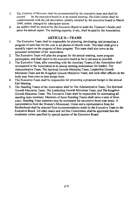- The Director of Missions shall be recommended by the executive team and shall be 5. elected by the executive board or at an annual meeting. His (Her) duties shall be commensurate with the job description initially adopted by the executive board in March 1999, unless changed by subsequent action.
- An auditor shall be secured by the Executive Board to audit the Treasurer's books and 6. attest his annual report. The auditing expense, if any, shall be paid by the Association.

## **ARTICLE II-TEAMS**

- $\mathbf{1}$ . The Executive Team shall be responsible for planning, developing, and promoting a program of activities for the year in all phases of church work. This team shall give a monthly report on the progress of their program. This team shall also serve as the personnel committee of the association.
- $2.$ The Executive Team will plan the program for the annual meeting, name program participants, and shall report to the executive board as far in advance as possible.
- $\overline{3}$ . The Executive Team, after consulting with the Auxiliary Teams of the Association shall recommend to the Association at its annual meeting nominations for leaders. The Administrative Team. The Spiritual Growth Ministries Team. Leadership Growth Ministries Team and the Kingdom Growth Ministries Team; and such other officers as the body may from time to time assign them.
- $\overline{\mathbf{4}}$ The Executive Team shall be responsible for presenting a proposed budget in the annual Fall Meeting.
- The Standing Teams of the Association shall be The Administrative Team. The Spiritual  $5<sub>1</sub>$ Growth Ministries Team, The Leadership Growth Ministries Team, and The Kingdom Growth Ministries Team. The Executive Team shall be responsible for nominating all standing team members. Members of these Standing Teams shall serve a term of three years. Standing Team members may be nominated for successive three-year terms. A representative from the Women's Missionary Union and a representative from the Brotherhood shall be selected from recommendations made by the Executive Team to the Executive Board. All other teams and Ad Hoc Committees shall be appointed thru the moderator unless specified by special motion of the Executive Board.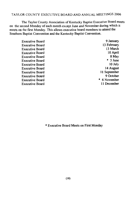## TAYLOR COUNTY EXECUTIVE BOARD AND ANNUAL MEETINGS 2006

The Taylor County Association of Kentucky Baptist Executive Board meets on the second Monday of each month except June and November during which it meets on the first Monday. This allows executive board members to attend the Southern Baptist Convention and the Kentucky Baptist Convention.

| <b>Executive Board</b> | 9 January    |
|------------------------|--------------|
| <b>Executive Board</b> | 13 February  |
| Executive Board        | 13 March     |
| Executive Board        | 10 April     |
| <b>Executive Board</b> | 8 May        |
| Executive Board        | $*$ 5 June   |
| <b>Executive Board</b> | $10$ July    |
| <b>Executive Board</b> | 14 August    |
| <b>Executive Board</b> | 11 September |
| Executive Board        | 9 October    |
| <b>Executive Board</b> | * 6 November |
| Executive Board        | 11 December  |
|                        |              |

\* Executive Board Meets on First Monday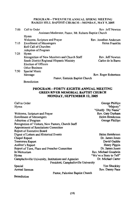#### PROGRAM-TWENTIETH ANNUAL SPIRNG MEETING RAIKES HILL BAPTIST CHURCH-MONDAY, MAY 9, 2005

| 7:00 | Call to Order                                           | Rev. Jeff Newton       |
|------|---------------------------------------------------------|------------------------|
|      | Assistant Moderator, Pastor, Mt. Roberts Baptist Church |                        |
|      | Hymn                                                    |                        |
|      | Welcome, Scripture and Prayer                           | Rev. Jonathan Anderson |
| 7:15 | <b>Enrollment of Messengers</b>                         | Helen Franklin         |
|      | Roll Call of Churches                                   |                        |
|      | Adoption of Program                                     |                        |
| 7:25 | Hymn                                                    |                        |
|      | Recognition of New Members and Church Staff             | Rev. Jeff Newton       |
|      | South District Regional Hispanic Ministry               | Carlos de la Barro     |
|      | <b>Election of Officers</b>                             |                        |
|      | <b>Other Business</b>                                   |                        |
| 7:50 | Special Music                                           |                        |
|      | Message                                                 | Rev. Roger Robertson   |

Pastor, Eastside Baptist Church

## PROGRAM-FORTY-EIGHTH ANNUAL MEETING **GREEN RIVER MEMORIAL BAPTIST CHURCH** MONDAY, SEPTEMBER 12, 2005

**Benediction** 

| Call to Order                                        | George Phillips         |
|------------------------------------------------------|-------------------------|
| Hymn                                                 | "Majesty"               |
|                                                      | "Glorify Thy Name"      |
| Welcome, Scripture and Prayer                        | Rev. Gary Durham        |
| <b>Enrollment of Messengers</b>                      | Helen Henderson         |
| <b>Adoption of Program</b>                           | George Phillips         |
| Recognition of Visitors, New Pastors, Church Staff   |                         |
| Appointment of Resolutions Committee                 |                         |
| Report of Executive Board                            |                         |
| Digest of Letters and Historical Events              | Helen Henderson         |
| Chapel Report                                        | Dr. James Jones         |
| <b>Treasurers Report</b>                             | David Gaddie            |
| Auditor's Report                                     | Henry Pippin            |
| Report of Time, Place and Preacher Committee         | Dr. James Jones         |
| In Memoriam                                          | Rev. Michael Goodwin    |
| Hymn                                                 | "We've a Story to Tell" |
| Campbellsville University, Institutions and Agencies | Dr. Michael Carter      |
| President, Campbellsville University                 |                         |
| Special                                              | Tim Shockley            |
| Annual Sermon                                        | Rev. Danny Pace         |
| Pastor, Palestine Baptist Church                     |                         |
| <b>Benediction</b>                                   |                         |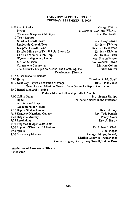#### **FAIRVIEW BAPTIST CHRUCH** TUESDAY, SEPEMBER 13, 2005

| 4:00 Call to Order                                             | George Phillips                                   |
|----------------------------------------------------------------|---------------------------------------------------|
| Hymn                                                           | "To Worship, Work and Witness"                    |
| Welcome, Scripture and Prayer                                  | Rev. Don Gowin                                    |
| 4:15 Team Reports                                              |                                                   |
| Spiritual Growth Team                                          | Rev. Larry Rowell                                 |
| Leadership Growth Team                                         | Dr. Jerry Kibbons                                 |
| Kingdom Growth Team                                            | Rev. Bill Henderson                               |
| Russian Ministry of Dr. Nickolai Syrovatka                     | Dr. Jerry Kibbons                                 |
| Christian Women's Job Corp                                     | Mrs. Debbie Carter                                |
| Women's Missionary Union                                       | Mrs. Sharon Wayne                                 |
| Men on Mission                                                 | Bro. Wendell Bowen                                |
| Cornerstone Counseling                                         | Mr. Ken Collins                                   |
| The Kentucky League on Alcohol and Gambling, Inc.              | Dallas Kratzer                                    |
| Development Director                                           |                                                   |
| 4:45 Miscellaneous Business                                    |                                                   |
| $5:00$ Hymn                                                    | "Sunshine in My Soul"                             |
| 5:10 Kentucky Baptist Convention Message                       | Rev. Randy Jones                                  |
| Team Leader, Missions Growth Team, Kentucky Baptist Convention |                                                   |
| 5:40 Benediction and Blessing                                  |                                                   |
| Potluck Meal in Fellowship Hall of Church                      |                                                   |
| 7:00 Call to Order                                             | Bro. George Phillips                              |
| Hymn                                                           | "I Stand Amazed in the Presence"                  |
| Scripture and Prayer                                           |                                                   |
| <b>Recognition of Visitors</b>                                 |                                                   |
| 7:10 Baptist Student Union                                     | Rev. Ed Pavy                                      |
| 7:15 Kentucky Heartland Outreach                               | Rev. Todd Parrish                                 |
| 7:20 Hispanic Ministry                                         | Penny Akers                                       |
| 7:25 Resolutions                                               | Rev. Al Hardy                                     |
| 7:30 Proposed Budget, 2005-2006                                |                                                   |
| 7:50 Report of Director of Missions                            | Dr. Robert S. Clark                               |
| 7:55 Special                                                   | Tim Hooper                                        |
| 8:00 Missionary Message                                        | George Phillips, Poland;                          |
|                                                                | Marilyn Goodwin, Switzerland;                     |
|                                                                | Corinne Rogers, Brazil, Larry Rowell, Bukina Faso |

Introduction of Association Officers Benediction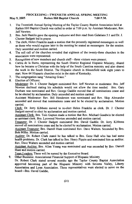#### PROCEEDING-TWENIETH ANNUAL SPRING MEETING Raikes Hill Baptist Church May 9, 2005 7:00 P.M.

- The Twentieth Annual Spring Meeting of the Taylor County Baptist Association held at  $\mathbf{I}$ . Raikes Hill Baptist Church was called to order at 7:00 p.m. by Assistant Moderator, Rev. Jeff Newton.
- Bro. Jack Hamlin gave the opening welcome and then read from Galatians 5:1 and Dr. J.  $2.$ Chester Badgett led in prayer.
- The clerk, Helen Franklin made a motion that the presently registered messengers as well 3. as those who would register later in the meeting be seated as messengers for the session. Duly seconded and motion carried.
- The roll call of the churches revealed that eighteen of the twenty-three churches in the  $4.$ association were represented.
- $5<sub>1</sub>$ Recognition of new members and church staff—three visitors were present.
- Carlos de la Barro, representing the South District Regional Hispanic Ministry, shared 6. how he became a Christian with the help of the South Carolina ministry and also shared the work in the South District. The Hispanic church in Bloomfield took eight years to start. Now 64 Hispanic churches exist in the state of Kentucky.
- The congregation sang "Amazing Grace." 7.
- Election of Officers: 8.

Moderator: Dr. J. Chester Badgett nominated Rev. Jeff Newton as moderator. Bro. Jeff Newton declined stating his schedule would not allow the time needed. Bro. Garv Durham was nominated and Rev. George Gaddie moved that all nominations cease and he be elected by acclamation. Duly seconded and motion carried.

Assistant Moderator: Rev. Bill Henderson was nominated and Rev. Skip Alexander seconded and moved that nominations cease and he be elected by acclamation. Motion carried.

Clerk: Dr. Jerry Kibbons moved to re-elect Helen Franklin as clerk. Dr. J. Chester Badgett moved to elect by acclamation and motion carried.

Assistant Clerk: Bro. Tom Gupton made a motion that Rev. Michael Goodwin be elected as assistant clerk. Bro. Lynwood Newton seconded and motion carried.

Treasurer: Dr. J. Chester Badgett nominated Bro. David Gaddie. Dr. Jerry Kibbons moved all nominations cease and he be elected by acclamation. Motion carried.

Assistant Treasurer: Bro. Darrell Hunt nominated Rev. Dave Walters. Seconded by Bro. Bob Milby. Motion carried.

Auditor: Dr. Robert Clark stated he has talked to Bro. Gene Hall who has had some health problems. Dr. Clark has talked to Bro. Henry Pippin and nominated him as auditor. Rev. Dave Walters seconded and motion carried.

Assistant Auditor: Bro. Allen Young was nominated and was seconded by Bro. Darrell Hunt and motion carried.

Team Leaders: These will be named by the Executive Board.

Other Business: Associational Financial Support of Hispanic Ministry 9.

Dr. Robert Clark stated several months ago the Taylor County Baptist Association approved becoming part of the Hispanic Ministry with Severns Valley, Liberty Association and Lynn Association. Three representatives were elected to serve on the board-Bro. David Gaddie.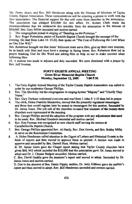Ms. Penny Akers, and Rev. Bill Henderson along with the Director of Missions of Taylor County Baptist Association. These representatives will be selecting a person to work with the four associations. The financial support for this will come from churches in the association. The association has pledged \$10,000 for this effort. Dr. Robert Clark made the recommendation that we underwrite this ministry from the association in the amount of \$10,000. Bro. Gary Miller seconded and motion carried.

The congregation joined in singing of "Standing on the Promises." 1.

 $2.$ Rev. Roger Roberston, pastor of Eastside Baptist Church brought the message of the evening. He read from Luke 14: 15-22, then spoke on "The Cost of Following the Lord When no One Else Will."

Bro. Robertson brought out that Jesus' followers must serve Him, give up their own interests. be in touch with Him and must have a strategy in facing issues. Bro. Robertson then led in prayer thanking God for His Word and asking Him to help us not to make excuses when following Him.

12. A motion was made to adjourn and duly seconded. We were dismissed with a prayer by Rev. Jeff Newton.

#### **FORTY-EIGHTH ANNUAL MEETING Green River Memorial Bantist Church** Monday, September 12, 2005 7:00 P.M.

- 1. The Forty-Eighth Annual Meeting of the Taylor County Baptist Association was called to order by our moderator George Phillips.
- Rev. Tim Shockley led the congregation in singing hymns "Majesty" and "Glorify They  $2.$ Name."
- 3. Rev. Gary Durham welcomed everyone and read from 1 John 5: 1-13 then led in prayer.
- The clerk, Helen Franklin Henderson, moved that the presently registered messengers  $\mathbf{4}$ and those that would register later be seated as messengers for this session. Seconded by Dr. James Jones. The roll call of the churches revealed that nineteen of the twenty-three churches were represented at the meeting.
- Bro. George Phillips moved the adoption of the program with any adjustments that need 5. to be made. Rev. Michael Goodwin seconded and motion carried.
- Rev. Ken Forman was recognized as new church staff serving the seniors at 6. Campbellsville Baptist Church,
- Bro. George Phillips appointed Rev. Al Hardy, Rev. Don Gowin, and Bro. Bobby Milby 7. to serve on the Resolutions Committee.
- A. Helen Henderson called attention to the Digest of Letters and Historical Events in the 8. book of reports and then moved to approve these as printed. A motion was made to approve and seconded by Bro. Darrell Hunt. Motion carried.

B. Dr. James Jones gave the Chapel report stating that Taylor County churches have given \$68, 942 which included the  $$10,000$  that the association gave. Dr. Jones moved to adopt and Dr. J. Chester Badgett seconded. Motion carried.

C. Bro. David Gaddie gave the treasurer's report and moved to adopt. Seconded by Dr. James Jones and motion carried.

D. Due to the absence of Bro. Henry Pippin, auditor, Dr. Jerry Kibbons gave the auditor's report and then moved to adopt. Rev. Bill Henderson seconded and motion carried.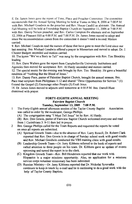E. Dr. James Jones gave the report of Time, Place and Preacher Committee. The committee recommends that the Annual Spring Meeting be held at Yuma on May 8, 2006 at 7:00 P.M. with Rev. Michael Goodwin as the preacher and Rev. Shaun Caudill as alternate. The Annual Fall Meeting will be held at Friendship Baptist Church on September 11, 2006 at 7:00 P.M. with Rev. Danny Nelson preacher, and Rev. Carlos Compton the alternate and on September 12, 2006 at Pleasant Hill at 4:00 P.M. and 7:00 P.M. Dr. James Jones moved to adopt and since the recommendation comes from the committee it doesn't need a second. Motion carried.

9. Rev. Michael Goodwin read the names of those that have gone to meet the Lord since our last meeting. Bro. Michael Goodwin offered a prayer in Memoriam and moved to adopt. Dr. J. Chester Badgett seconded and motion carried.

10. The hymn "We've a Story to Tell" was sung by the congregation with Rev. Tim Shockley leading.

11. Rev. Dave Walters gave the report from Campbellsville University Institutions and Agencies then moved for acceptance. Rev. Al Hardy seconded and motion carried.

12. The special music for the evening was brought by Rev. Tim Shockley. He gave a beautiful rendition of "Nothing But the Blood of Jesus."

13. Rev. Danny Pace, pastor of Palestine Baptist Church, brought the annual sermon. Bro. Pace read scripture from Philippians 1:12 and shared "Three Opportunities for Service." (1) Extend the Gospel (2) Encourage other People (3) Exalt Jesus.

14. Dr. James Jones moved to adjourn until tomorrow at 4:00 P.M. Bro. Darrell Hunt dismissed with prayer.

## FORTY-EIGHTH ANNUAL MEETING **Fairview Baptist Church**

## Tuesday, September 13, 2005 7:00 P.M.

- The Forty-Eighth annual afternoon session of the Taylor County Baptist Association  $\mathbf{l}$ was called to order by the moderator, George Phillips.
	- (A) The congregation sang "I Must Tell Jesus" let by Rev. Al Hardy.
	- (B) Rev. Don Gowin, pastor of Fairview Baptist Church welcomed everyone and read from 1 Corinthians 3: 9-11 then led in prayer.
- Bro. George Phillips called for the Team Reports and requested the reports be voted  $\overline{2}$ on once all reports are submitted.
	- (A) Spiritual Growth Team-due to the absence of Rev. Larry Rowell, Dr. Robert Clark reported that Rev. Don Gowin is in charge of Sunday school work with good results and Rev. Michael Goodwin conducted the VBS training clinic with good results.
	- (B) Leadership Growth Team-Dr. Jerry Kibbons referred to the book of reports and called attention to three people on his team. Dr. Kibbons gave an update of events upcoming and turned the report in to the clerk.
	- (C) Kingdom Growth Team—Rev. Bill Henderson reported that our work with Hispanics is a major missions opportunity. Also, an application for a missions service corps volunteer missionary has been submitted.
	- (D) Russian Ministry-Dr. Jerry Kibbons reported that Dr. Nickolai Syrovatka continues to keep in touch by e-mail and he is continuing to do a good work with the help of Taylor County Baptists.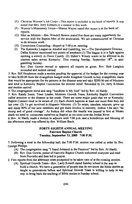- (E) Christian Women's Job Corps—This report is included in the book of reports. It was noted that Mrs. Jerry Kibbons is a mentor in this work.
- (F) Women's Missionary Union—Sharon Wayne stated this report is in the book of reports.
- (G) Men on Mission—Bro. Wendell Bowen stated that there are many opportunity for service with the Baptist Men of the association. We are commissioned as Christian to do mission work.
- (H) Cornerstone Counseling—Report at 7:00 p.m. meeting.
- (I) The Kentucky League on Alcohol and Gambling, Inc.—The Development Director, Dallas Kratzer mentioned two points of emphasis (1) The league is in a fight against opening a winery in Owen County. (2) Huber's Winery wants to be allowed to do internet sales across Kentucky. This coming Sunday. September 18<sup>th</sup>, is antigambling Sunday.

Rev. Don Gowin moved to approve all reports as given. Rev. Bob Langlois seconded and motion carried.

3. Rev. Bill Henderson made a motion pending the approval of the budget for the coming year to take \$100.00 from the evangelism budget under Kingdom Growth to buy evangelistic tracts that would be appropriate for the persons in the disaster area and take \$200.00 out of Missions and send to Kentucky Baptist Convention for disaster relief. Seconded by Dr. Jerry Kibbons and motion carried

4. The congregation stood and sang "Sunshine in My Soul" led by Rev. Al Hardy.

5. Rev. Randy Jones, Team Leader, Missions Growth Team. Kentucky Bantist Convention called attention to the disaster in the south. There are some major goals that we as Kentucky Baptist Connect need to be aware of. (1) Each church baptizes at least one more then they did last year. (2) To get involved in Hispanic Ministry. (3) To retain, simulate, educate, grow up and equip 80% of our new members and get them involve in ministry. Joshua 1:6a says "be strong and of good courage". As Joshua did when the mantle was passed to him at Moses death we need to consecrate ourselves as Baptist as we cross over the Jordan River.

6. Rev. Al Hardy made a motion to adjourn until 7:00 p.m. and a benediction and blessing of the afternoon meal was offered by Bro. William Bault.

#### **FORTY-EIGHTH ANNUAL MEETING Fairview Baptist Church** Tuesday, September 13, 2005 7:00 P.M.

7. Following a meal in the fellowship hall, the 7:00 P.M. session was called to order by Bro. George Phillips.

- (A) The congregation sang "I Stand Amazed in the Presence" led by Rev. Al Hardy.
- (B) Rev. Don Gowin, pastor of Fairveiw Baptist Church welcomed everyone and read from Proverbs and then led in prayer.

2. Two reports from the afternoon were postponed to be taken care of at the evening session.

(A) Spiritual Growth Team-Rev. Larry Rowell stated Sunday school is the way to build a church. We have a generation of people that do not know the Bible stories as taught to generations before and Spiritual Growth Team is willing to help in any way to bring back the teaching of Bible stories in Sunday school.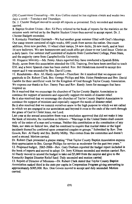(H) Cornerstone Counseling—Mr. Ken Collins stated he has eighteen clients and works two days a week-Tuesdays and Thursdays.

Dr. J. Chester Badgett moved to accept all reports as presented. Duly seconded and motion carried

8. Baptist Student Union—Rev. Ed Pavy referred to the book of reports for the statistics on the mission work carried on by the Baptist Student Union then moved to accept report. Dr. J. Chester Badgett seconded.

9. Kentucky Heartland Outreach—We had another great summer filled with God's blessings. Our camp season consisted of eight weeks, 640 youth from across the nation. One room addition, three new porches. 11 wheel chair ramps, 24 new decks, 26 new roofs, and at least 14 new believers. We saw homeowners and youth alike get closer to our Lord Jesus Christ on a daily basis. Our summer staff consisted of students from Cumberland College, Penn State, and the majority came from Campbellsville University.

10. Hispanic Ministry-Ms. Penny Akers reported they have conducted a Spanish Bible Study, seven from this association attended the ESL Training, five have been certified to teach ESL and a basic Spanish class has been started. Rev. Bill Henderson moved to accept this report and it was seconded by Bro. David Lyons.

11. Resolutions—Rev. AL Hardy reported—Therefore: Be it resolved that we express our gratitude to Dr. Robert Clark, Bro. George Phillips and Mrs. Helen Henderson and Bro. David Gaddie for their sacrificial work for the Kingdom of God through Taylor County Association. We express our thanks to Rev. Danny Pace and Rev. Randy Jones for messages that have inspired us.

Be it resolved that we encourage the churches of Taylor County Baptist Association to continue the support of missions and especially support the needs of disaster relief. Be it also resolved that we encourage the churches of Taylor County Baptist Association to continue the support of missions and especially support the needs of disaster relief. Be it also resolved that we commit ourselves anew to the high purpose to which we are called in which we are engaged in our association and beyond it even to the ends of the earth through the grace of God in Christ Jesus, our Lord.

Last year at the annual association there was a resolution approved that did not make it into the book of minutes, the resolution as follows—"Marriage in the United States shall consist only of the union of a man and a woman. Neither this constitution or the constitution of any State, nor state on federal law, shall be construed to require that marital status or the legal incidents thereof be conferred upon unmarried couples or groups." Submitted by Rev. Don Gowin, Rev. Al Hardy and Bro. Bobby Milby. This comes from the committee and doesn't need a second. Motion carried.

Dr. Robert Clark presented a plaque stating "That Taylor County Baptist Association express their appreciation to Bro. George Phillips for service as moderator for the past two years." 12. Proposed budget, 2005-2006—Rev. Gary Durham reported the budget report included in the book of reports and moved to adopt. Dr. Jerry Kibbons seconded and motion carried. Rev. Al Hardy moved to amend the budget to take out \$5,000 from the surplus and give to the Kentucky Baptist Disaster Relief fund. Duly seconded and motion carried.

13. Report of Director of Missions-Dr. Robert Clark stated that Taylor County Baptist Association ranked third in the state per capita in Cooperation Program giving amounting to approximately \$385,000. Rev. Don Gowin moved to accept and duly seconded. Motion carried.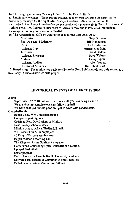14. The congregation sang "Victory in Jesus" led by Rev. Al Hardy.

15. Missionary Message—Three people that had gone on missions gave the report as the missionary message for the night. Mrs. Marilyn Goodwin-36 went on mission to Switzerland, Rev. Larry Rowell—five people conducted a prayer walk in West Africa area of Burkina Faso. Bro. George Phillips went to Africa in May and to Poland as International Messengers teaching conversational English.

16. The Associational Officers were introduced for the year 2005-2006:

| Moderator                        | Gary Durham           |
|----------------------------------|-----------------------|
| <b>First Assistant Moderator</b> | <b>Bill Henderson</b> |
| Clerk                            | Helen Henderson       |
| <b>Assistant Clerk</b>           | Michael Goodwin       |
| Treasurer                        | David Gaddie          |
| <b>Assistant Treasurer</b>       | Dave Walters          |
| Auditor                          | Henry Pippin          |
| <b>Assistant Auditor</b>         | Allen Young           |
| Director of Missions             | Dr. Robert Clark      |

17. Benediction-The motion was made to adjourn by Rev. Bob Langlois and duly seconded. Rev. Gary Durham dismissed with prayer.

#### **HISTORICAL EVENTS OF CHURCHES 2005**

#### Acton

September  $12^{th}$ , 2004 we celebrated our 20th years as being a church. We are about to complete our new fellowship hall.

We have changed our old pews and put in pews with padded seats.

#### Campbellsville

Began 2 new WMU mission groups Completed parking lots Ordained Rev. David Akers to Ministry New Sunday school classes. Mission trips to Africa, Thailand, Brazil. 9/11 Repair Fair Mission project. 40 Days of Purpose Anniversary. Began Mother's Morning Out Thy Kingdom Come Spiritual Campaign. Cornerstone Counseling Open House/Ribbon Cutting. Upward Basketball. Easter pageant. Coffee House for Campbellsville University students. Delivered 100 baskets at Christmas to needy families.

Called new part-time Minister to Children.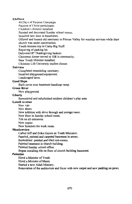#### **ElkHorn**

40 Days of Purpose Campaign.

Passion of Christ participants.

Children's director installed.

Painted and decorated Sunday school rooms.

Installed new door in basements.

Offered and loaned old sanctuary to Pitman Valley for worship services while their church was under construction.

Youth mission trip to Camp Big Stuff.

Repaving of parking lot.

Delivered 87 Thanksgiving baskets

Christmas dinner served to 108 in community.

New Youth Minister installed

Christian Life University studies classes

#### Fairview

Completed remodeling sanctuary. Installed playground equipment. Landscaped lawn.

#### **Good Hope**

Built cover over basement handicap ramp.

#### **Green River**

New playground.

#### Liberty

Remodeled and refurbished outdoor children's play area

#### **Lowell Avenue**

New van New doors New addition with drive through and storage room. New floor in Sunday school room. Tile on all entrances. New copier. New furniture for work room.

#### Meadowview

Called Jeff and Erika Gaines as Youth Ministers.

Paneled, painted and carpeted basement in annex.

Remodeled painted and tiled rest-rooms.

Painted basement in church building.

Painted Sunday school office.

Began installing tile on floor of church building basement.

#### **Palestine**

Hired a Minister of Youth

Hired a Minister of Music

Started a new Adult Ministry.

Renovation of the auditorium and foyer with new carpet and new padding on pews.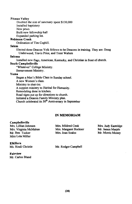Pitman Valley

Doubled the size of sanctuary spent \$130,000 Installed baptistery New pews.

Built new fellowship hall

Expanded parking lot.

## **Robinson Creek**

Ordination of Tim Coghill.

#### Salem

Elected three Deacon Yolk fellows to be Deacons in training. They are: Doug Underwood, Travis Price, and Trent Walters

#### Saloma

Installed new flags, American, Kentucky, and Christian in front of church.

#### **South Campbellsville**

"Whatever" College Ministry.

Bereavement Ministry.

#### Yuma

Began a Men's Bible Class in Sunday school. A new Women's class. Ministry to shut-ins. A support ministry to Habital for Humanity. Remodeling done in kitchen. Road signs put up for directions to church. Initiated a Deacon Family Ministry plan. Church celebrated its 50<sup>th</sup> Anniversary in September

## **IN MEMORIAM**

#### Campbellsville

Mrs Lillian Johnson Mrs. Virginia McMahan Mr. Ben Tucker Miss Leta Miller

#### **ElkHorn**

Ms. Rindi Christie

**Fairview** Mr. Carlos Bland Mrs. Mildred Cook Mrs. Margaret Buckner Mrs. Joan Scalos

Mrs. Judy Eastridge Mr. James Marple Mr. Morris Money

Mr. Rodger Campbell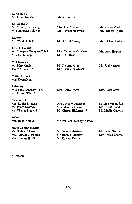**Good Hope** Mr. Frank Nelson

**Green River** Mr. Tommy Browning Mrs. Imogene Caldwell

Liberty Mr. Windell Dicken

**Lowell Avenue** Mr. Sherman (Pete) McCubbin Mrs. Edith Sapp

Meadowview Mr. Mary Cable James Mitchell \*

**Mount Gilboa** Mrs. Debra Hunt

**Palestine** Mrs. Cleo Gahehart Black Mr. Robert Wise \*

#### **Pleasant Hill**

Mrs. Louise England Mr. James Kearney Mr. Charles England \*

**Salem** Mrs. Ruby Amold

#### **South Campbellsville**

Mr. Holland Moore Mrs. Almeada Oshorne Mrs. Thelma Hardin

Mr. Reesor Pierce

Mrs. Joan Stewart Mr. Hershel Stearman

Mr. Kermit Murray

Mrs. Catherine Gabehart Mr. L.M. Read

Mr. Kenneth Grav Mrs. Geraldine Myers

Mrs. Grace Bright

Mrs. Joyce Wooldridge Mrs. Marcille Blevins

Mr. Chester Blakeman \*

Mrs. Clara Cave

Mr. Marion Clark

Mr. Herbert Bryant

Mrs. Helen Hardin

Mr. Larry Hearon

Mr. Paul Harmon

Mr. Spencer Hodge Mr. Forest Bland Mr. Merlin Gabehart

Mr. William "Skinny" Kirtley

Mr. Johnny Harrison Mr. Ronnie Gadberry Mr. Edward Payton

Mr. James Rooks Mrs. Josie Osborne

\* Deacon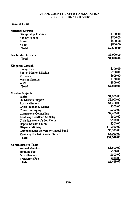#### TAYLOR COUNTY BAPTIST ASSOCIATION PURPOSED BUDGET 2005-2006

## **General Fund**

| <b>Spiritual Growth</b>               |             |
|---------------------------------------|-------------|
| Discipleship Training                 | \$400.00    |
| Sunday School                         | \$800.00    |
| Music                                 | \$500.00    |
| Youth                                 | \$800.00    |
| <b>Total</b>                          | \$2,500.00  |
| <b>Leadership Growth</b>              | \$1,000.00  |
| Total                                 | \$1,000.00  |
| <b>Kingdom Growth</b>                 |             |
| Evangelism                            | \$500.00    |
| <b>Baptist Men on Mission</b>         | \$750.00    |
| <b>Missions</b>                       | \$600.00    |
| <b>Mission Sermon</b>                 | \$150.00    |
| WMU                                   | \$800.00    |
| <b>Total</b>                          | \$2,800.00  |
| <b>Mission Projects</b>               |             |
| <b>Bibles</b>                         | \$1,000.00  |
| On Mission Support                    | \$5,000.00  |
| <b>Russia Missions</b>                | \$4,200.00  |
| <b>Crisis Pregnancy Center</b>        | \$500.00    |
| Council on Aging                      | \$200.00    |
| Cornerstone Counseling                | \$2,400.00  |
| Kentucky Heartland Ministry           | \$500.00    |
| Christian Women's Job Corps           | \$500.00    |
| <b>Baptist Student Union</b>          | \$200.00    |
| Hispanic Ministry                     | \$10,000.00 |
| Campbellsville University Chapel Fund | \$5,000.00  |
| Kentucky Baptist Disaster Relief      | \$5,000.00  |
| <b>Total</b>                          | \$34,500.00 |
| <b>Administrative Team</b>            |             |
| <b>Annual Minutes</b>                 | \$1,600.00  |
| <b>Bonding Fee</b>                    | \$100.00    |
| Miscellaneous                         | \$500.00    |
| Treasurer's Fee                       | \$200.00    |
| Total                                 | \$2,400.00  |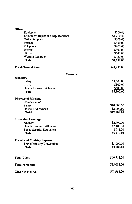## Office

| Equipment                                | \$200.00    |
|------------------------------------------|-------------|
| <b>Equipment Repair and Replacements</b> | \$1,200.00  |
| Office Supplies                          | \$600.00    |
| Postage                                  | \$600.00    |
| Telephone                                | \$800.00    |
| Internet                                 | \$300.00    |
| Utilities                                | \$600.00    |
| Western Recorder                         | \$450.00    |
| Total                                    | \$4,750.00  |
| <b>Total General Fund</b>                | \$47,950.00 |
| Personnel                                |             |
| Secretary                                |             |
| Salary                                   | \$3,500.00  |
| <b>FICA</b>                              | \$300.00    |
| Health Insurance Allowance               | \$500.00    |
| <b>Total</b>                             | \$4,300.00  |
| <b>Director of Missions</b>              |             |
| Compensation                             |             |
| Salary                                   | \$10,000.00 |
| Housing Allowance                        | \$2,000.00  |
| <b>Total</b>                             | \$12,000.00 |
| <b>Protection Coverage</b>               |             |
| Annuity                                  | \$2,400.00  |
| Health Insurance Allowance               | \$2,400.00  |
| Social Security Equivalent               | \$918.00    |
| Total                                    | \$5,718.00  |
| <b>Travel and Ministry Expense</b>       |             |
| Travel/Ministry/Convention               | \$3,000.00  |
| <b>Total</b>                             | \$3,000.00  |
| <b>Total DOM</b>                         | \$20,718.00 |
| <b>Total Personnel</b>                   | \$25,018.00 |
| <b>GRAND TOTAL</b>                       | \$72,968.00 |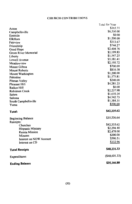## **CHURCH CONTRIBUTIONS**

|                             | Total for Year   |
|-----------------------------|------------------|
| Acton                       | \$365.71         |
| Campbellsville              | \$6,500.00       |
| Eastside                    | \$0.00           |
| ElkHom                      | \$1,200.00       |
| Fairview                    | \$313.67         |
| Friendship                  | \$744.27         |
| Good Hope                   | \$2,404.76       |
| <b>Green River Memorial</b> | \$3,199.83       |
| Liberty                     | \$1,547.25       |
| Lowell Avenue               | \$5,181.41       |
| Meadowview                  | \$2,195.72       |
| Mount Gilboa                | \$700.00         |
| <b>Mount Roberts</b>        | \$810.58         |
| Mount Washington            | \$1,200.00       |
| Palestine                   | \$1,175.81       |
| Pitman Valley               | \$240.00         |
| Pleasant Hill               | \$4,281.25       |
| <b>Raikes Hill</b>          | \$0.00           |
| <b>Robinson Creek</b>       | \$2,237.98       |
| Salem                       | \$1,610.34       |
| Saloma                      | \$4,542.73       |
| South Campbellsville        | \$1,384.31       |
| Yuma                        | \$500.00         |
| Total:                      | \$42,335.62      |
| <b>Beginning Balance</b>    | \$35,536.64      |
| Receipts:<br>Churches       | \$42,335.62      |
| Hispanic Ministry           | \$2,294.40       |
| Russia Mission              | \$2,478.00       |
| Minutes                     | \$200.00         |
| Interest on NOW Account     | \$590.51         |
| Interest on CD              | \$332.96         |
| <b>Total Receipts</b>       | \$48,231.33      |
| Expenditures                | $($ \$48,601.33) |
| <b>Ending Balance</b>       | \$35,166.80      |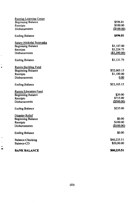| Russian Learning Center      |              |
|------------------------------|--------------|
| <b>Beginning Balance</b>     | \$596.81     |
| Receipts                     | \$100.00     |
| Disbursements                | (\$100.00)   |
| <b>Ending Balance</b>        | \$596.81     |
| Salary-Nickolai Syrovatka    |              |
| <b>Beginning Balance</b>     | \$1,107.00   |
| Receipts                     | \$3,224.75   |
| <b>Disbursements</b>         | (\$3,200.00) |
| <b>Ending Balance</b>        | \$1,131.75   |
| <b>Russia Building Fund</b>  |              |
| <b>Beginning Balance</b>     | \$22,005.15  |
| Receipts                     | \$1,100.00   |
| <b>Disbursements</b>         | 0.00         |
| <b>Ending Balance</b>        | \$23,105.15  |
| <b>Russia Education Fund</b> |              |
| <b>Beginning Balance</b>     | \$20.00      |
| Receipts                     | \$715.00     |
| Disbursements                | ( \$500.00)  |
| <b>Ending Balance</b>        | \$235.00     |
| <b>Disaster Relief</b>       |              |
| <b>Beginning Balance</b>     | \$0.00       |
| Receipts                     | \$100.00     |
| <b>Disbursements</b>         | (\$100.00)   |
| <b>Ending Balance</b>        | \$0.00       |
| <b>Balance-Checking</b>      | \$40,235.51  |
| <b>Balance-CD</b>            | \$20,00.00   |
| <b>BANK BALANCE</b>          | \$60,235.51  |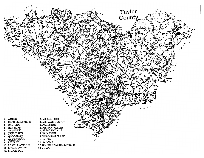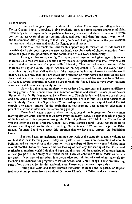#### LETTER FROM NICKOLAI SYROVATKO

Dear brothers.

I am glad to greet you, members of Executive Committee, and all members of Taylor County Baptist Churches. I give brotherly greetings from Baptist churches of Saint Petersburg and Leningrad area in particular from my assistants at church education. I wrote you during last weeks about our current things and needs and therefore today I want to add and to comment little my messages that I sent you before. I am glad to know that you received my last letter with pictures and books for Sunday school teachers.

First of all, we thank the Lord for this opportunity to forward all friends words of heartfelt thanks for your support at new academic year for needs of church education. Your donations give us real possibility for the continuation of our work and ministry.

I am glad that today can "go" to your annual meeting and give regards from our churches. Like case was really one time at my life and our partnership ministry. It was at 2001 when I studied one term at Campbellsville University. Then we had annual meeting of the churches of Taylor County Baptist Association on September 11<sup>th</sup>. Now and every year I remember this date first of all as the day of the tragedy at the history of America and the world history also. We pray that the Lord gives His protection on your homes and families and also for all nations. Now I as a geographer stagger by consequences of last storm at New Orleans. At August several countries at Europe lived through big flood. I take always every message about elemental disaster very sickly for me.

Now it is a time at our ministry when we have first meetings and lessons at different training groups. Adults come back past summer vacations and dachas. Senior pastor Victor Sipko with his family lives now at Saint Petersburg. Church leaders and brothers can discuss and pray about a vision of ministries at the near future. I will inform you about decisions of our Brotherly Council. On September 6<sup>th</sup>, we had special prayer worship at Central Baptist church. The church prayed for the beginning at new learning year at church education. I preached also and invited members at training groups.

Yesterday I began to teach and train at two groups through programs of our common learning day at Central church that we have every Thursday. Today I began to teach at a group of Bible College. It is a program through the Publishing House of "Bible for all." Now I send you this letter and go to Brotherly Council at Central Baptist church. Today we are going to discuss several questions for church meeting. On September  $12<sup>th</sup>$ , we will begin our Bible lessons for men. I told you about this program that we have also through the Publishing House.

But now I and my assistants continue our work at the same forms and a volume as we had it at past learning year. Today our pastors don't have new conception of church building and can only discuss this question with members of Brotherly council during next several months. Today we have a time for looking of new way for sharing of the Gospel and ministries at modern world. I think and hope that this year will be a period of an organization of new groups of Bible study of different levels. Then we continue to train leaders as helpers for pastors. Next part of my plans is a preparation and printing of curriculum materials for teachers and textbooks for programs of Pastor School and Bible College. These are three big parts of my plans and job for this academic year. Please, up us at your prayers also.

During last years and today Russian Protestant churches and in particular Baptist feel very strong pressure from the side of Orthodox Church. But Orthodox does it during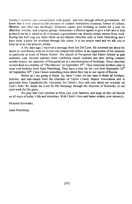Sunday's sermons and conversations with people and also through official government. All know that it exist directives for directors of cultural institutions (cinemas, homes of culture, Moraries, and other like buildings). Directors cannot give building or rooms for a rent for churches, mission, and religious groups. Sometimes a director agrees to give a hall and to help a church but he is afraid to do it because a government can dismiss unruly person from work. During last half year our three (from seven) Baptist churches only at Saint Petersburg don't have today a place for worships through like cause. It is our prayer need and we ask you to keep up us at your prayers, please.

A few days ago. I received a message from Joe Del Leon. He informed me about his desire to visit Russia with his friend who helped him before at an organization of his ministry in particular at work of Pastor School. The church of Novgorod had Pastor School at past academic year. Several teachers from California taught students and then during summer months helped, the churches of Novgorod are at a reconstruction of buildings. These churches invited them to a holiday of "The Harvest" on September 25<sup>th</sup>. Then American brothers plan to meet with brothers from Saint Petersburg. They have a time for the visit from September 24<sup>th</sup> till September 30<sup>th</sup>. I don't know something more about their trip to our region of Russia.

Before as 1 am going to finish my letter I want yet one time to thank all brothers. families, and individuals from the churches of Taylor County Baptist Association and in particular from Campbellsville University for Christ's love and care about our ministry on God's field. We thank the Lord for His blessings through the churches of Kentucky at our joint work for His glory.

We pray that God continue to bless you, your families, and keep up also all friends on all ways of today's life and ministries. With Christ's love and better wishes, your sincerely,

Nickolai Syrovatko.

Saint Petersburg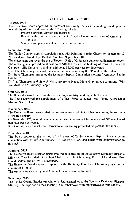#### **EXECUTIVE BOARD REPORT**

#### **August. 2004**

The Executive Board approved the statement concerning requests for funding based upon the availability of funds and meeting the following criteria:

Possess Christian Mission and purpose:

Be compatible with mission statement of Taylor County Association of Kentucky Baptists:

Maintain an open account and expenditure of funds.

#### September, 2004

The Taylor County Baptist Association met with Palestine Baptist Church on September 13, 2004 and with Good Hope Baptist Church on September 14th.

The messengers approved the use of Robert's Rule of Order as a guide to parliamentary order. The messengers approved an allocation of \$10,000 toward the building of Ransdell Chapel at Campbellsville University. With an additional \$5,000 per year for three years.

Bro. John Chowning preached, the annual sermon concerning the "Parable of the Talent."

Dr. Steve Thompson presented the Kentucky Baptist Convention message "Kentucky Baptist" Connect."

Dr. Van Thompson and his wife Mary, representatives to Malawi presented six reasons "Why We Must Be a Missionary People."

#### October, 2004

The Board discussed the possibility of starting a ministry working with Hispanics.

The Board approved the appointment of a Task Force to contact Mrs. Penny Akers about Mission Service Corps.

#### November, 2004

The Executive Board learned that two meetings were held in October concerning the start of a Hispanic Ministry.

On November  $17<sup>th</sup>$ , several members participated in a banquet for members of National Guard that have been activated.

Ken Collins, new counselor for Cornerstone Counseling presented his personal testimony.

#### December, 2004

The Board approved the writing of a History of Taylor County Baptist Association in connection with its 50<sup>th</sup> Anniversary. Dr. Robert S. Clark and others were commissioned to this task.

#### January, 2005

The Executive Board selected representatives to a meeting of the Southern Kentucky Hispanic Ministry. They included: Dr. Robert Clark, Rev. John Chowning, Rev. Bill Henderson, Bro. David Gaddie, and Dr. W.R. Davenport.

The Executive Board approved support for the Kentucky Directors of Mission project in the amount of \$100.00.

The Associational Office joined Alltel.net for access to the Internet.

#### February, 2005

The Taylor County Baptist Association's Representatives to the Southern Kentucky Hispanic Ministry, Inc. reported on their meeting in Elizabethtown with representatives from Liberty,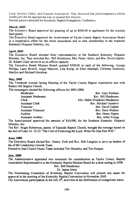Lynn, Severns Valley, and Simpson Association. They discussed that joint-cooperative efforts would provide the appropriate way to expand this ministry.

Several pastors attended the Kentucky Baptist Evangelism Conference.

## **March, 2005**

The Executive Board approved the granting of up to \$500.00 to applicants for the mission fund grants.

The Executive Board approved the involvement of Taylor County Baptist Association Board in a cooperative effort for the entire association and to seek membership in the Southern Kentucky Hispanic Ministry, Inc.

#### **April, 2005**

The Executive Board selected three representatives to the Southern Kentucky Hispanic Ministry, Inc. They included Rev. Bill Henderson, Mrs. Penny Akers, and Bro. David Gaddie. Dr. Robert Clark serves in an ex-officio capacity.

The Executive Board Mission Board, granted \$500.00 to each of the following, George Phillips, Larry Rowell, Angie Marcum, Lela Kemp, Jo Ellen Marshall, Christine Swallows, Marilyn and Michael Goodwin.

#### May, 2005

The Twentieth Annual Spring Meeting of the Taylor County Baptist Association met with Raikes Hill Baptist Church.

The messengers elected the following officers for 2005-2006:

| Moderator                                                                   | Rev. Gary Durham                |
|-----------------------------------------------------------------------------|---------------------------------|
| <b>Assistant Moderator</b>                                                  | Rev. Bill Henderson             |
| <b>Clerk</b>                                                                | Mrs. Helen (Franklin) Henderson |
| <b>Assistant Clerk</b>                                                      | Rev. Michael Goodwin            |
| Treasurer                                                                   | Bro. David Gaddie               |
| <b>Assistant Treasurer</b>                                                  | Rev. Dave Walters               |
| Auditor                                                                     | Bro. Henry Pippin               |
| <b>Assistant Auditor</b>                                                    | Bro. Allen Young                |
| raistianal annuarrad tha amarunt af CIODDO. fan tha Carrtham Vantualer High |                                 |

The Associational approved the amount of \$10,000, for the Southern Kentucky Hispanic Ministry, Inc.

The Rev. Roger Robertson, pastor, of Eastside Baptist Church, brought the message based on the text of Luke 14: 15-22 "The Cost of Following the Lord, When No One Else Will."

## **June, 2005**

The Executive Board elected Rev. Jimmy York and Rev. Bob Langlois to serve as leaders of the of the Leadership Growth Team.

Elected to lead Church Music Team included Tim Shockley and Tim Hooper.

#### **July, 2005**

The Administrative appointed two nominees for consideration as Taylor County Baptist Association Representative to the Kentucky Baptist Mission Board for a term ending in 2008

Rev. Bill Henderson

Dr. James Jones

The Nominating Committee of Kentucky Baptist Convention will present one name for approval at the meeting of the Kentucky Baptist Convention in November 2005.

The Association participation in the July  $4<sup>th</sup>$ , activities in the distribution of evangelistic tracts.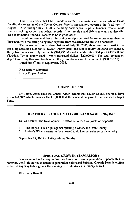#### **AUDITOR REPORT**

This is to certify that I have made a careful examination of the records of David Gaddie. the treasurer of the Tavlor County Baptist Association, covering the fiscal year of August 1, 2004 through July 31, 2005 including bank deposit slips, statements, reconciliation sheets, checking account and ledger records of both receipts and disbursements, and that after such examination, found all records to be in good order.

I would recommend that all incoming receipts be listed by some one other then the Treasurer, with the listing being keep separate from the actual receipts to be deposited.

The treasurers records show that as of July 31, 2005, there was on deposit in the checking account # 600-584-5. Taylor County Bank, the sum of fourty thousand two hundred thirty five dollars and fifty one cents (\$40,235.51) and in certificates of deposit #136508 and #136663, Taylor county Bank, twenty thousand dollars (\$20,000.00). The total amount on deposit was sixty thousand two hundred thirty five dollars and fifty one cents (\$60,235.51)

Dated this 6<sup>th</sup> day of September, 2005.

Respectfully submitted, Henry Pippin, Auditor

#### **CHAPEL REPORT**

Dr. James Jones gave the Chapel report stating that Taylor County churches have given \$68,942 which includes the \$10,000 that the association gave to the Ransdell Chapel Fund.

#### KENTUCKY LEAGUE ON ALCOHOL AND GAMBLING, INC.

Dallas Kratzer, The Development Director, reported two points of emphasis.

- 1. The league is in a fight against opening a winery in Owen County.
- $2.$ Huber's Winery wants to be allowed to do internet sales across Kentucky.

September 18, 2005 is Anit-gambling Sunday

#### SPIRITUAL GROWTH TEAM REPORT

Sunday school is the way to build a church. We have a generation of people that do not know the Bible stories as taught to generation before and Spiritual Growth Team is willing to help in any way to bring back the teaching of Bible stories in Sunday school.

Rev. Larry Rowell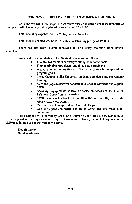#### 2004-2005 REPORT FOR CHRISTIAN WOMEN'S JOB CORPS

Christian Women's Job Corps is in its fourth year of operation under the umbrella of Campbellsville University. Site registration was renewed for 2005.

Total operating expenses for the 2004 year was \$676.15.

Total money donated was \$844.44 with an outstanding pledge of \$900.00.

There has also been several donations of Bible study materials from several churches

Some additional highlights of the 2004-2005 year are as follows:

- Five trained mentors currently working with participants.
- Four continuing participants and three new participants.  $\bullet$
- A graduation ceremony for one of the participants who completed her  $\bullet$ program goals.
- Three Campbellsville University students completed site-coordinator training.
- New one page descriptive handout developed to advertise and explain  $CWIC$
- Speaking engagements at two Kentucky churches and the Church Relations Council annual meeting.
- CWJC sponsored a booth at the Blue Ribbon Fun Day for Child  $\bullet$ Abuse Awareness Month.
- One participant completed her Associate Degree.
- One participant committed her life to Christ and two made a re- $\bullet$ commitment.

The Campbellsville University Christian's Women's Job Corps is very appreciative of the support of the Taylor County Baptist Association. Thank you for helping to make a difference in the lives of the women we serve.

> Debbie Carter. Site-Coordinator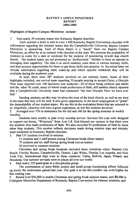#### **BAPTIST CAMPUS MINISTRIES REPORT** 2004-2005

#### **Highlights of Baptist Campus Ministries include:**

 $\mathbf{L}$ Sent nearly 39 ministry teams into Kentucky Baptist churches

Each summer a letter is sent to over 1,400 Kentucky Baptist Convention churches with information regarding the ministry teams that the Campbellsville University Baptist Campus Ministries is sponsoring. Each of these letters is a "touch" from our Baptist Campus Ministries, an effort by us to connect with churches in the state. We promote the availability of students to come for a date or weekend for the purpose of ministering to/with that church family. The student teams are not promoted as "professional." Neither is there an attempt to downplay their capability. The idea is to enlist students, train them in various ministry skills, and then procure opportunities for them to put those skills into practice. In the initial letter we include information regarding team make-up and which specific weekends they will be available during the academic year.

In total, there were 387 students involved on our ministry teams. Some of their highlights included; one revival team reporting 30 people praying to accept Christ, a Disciple Now team reported over 100 decisions one weekend—24 of those being children and adults and the other 76 youth, many of whom made professions of faith, still another church reported that a Campbellsville University team had conducted "the best Disciple Now we have ever had "

Sending students out this way involves the trust of the local church, as well as my trust in the team that they will do well. It also gives opportunity to the local congregation to "grade" the dependability of our student teams. We see this in the evaluation forms that are returned to us. Hopefully, churches will have a good experience, as will the students involved.

 $2.$ Averaged over 176 in attendance for the fall and 140 for the spring semester in weekly worship.

Students meet weekly to plan every worship service. Services this year were designed to support our theme, "Witnesses" from Acts 1:8. God blessed our campus in that there were ten students who made professions of faith. We also recorded 92 professions of faith by those other than students. This number reflects decisions made during mission trips and ministry team weekends in Kentucky Baptist churches.

Had 131 students involved in mission.  $\mathbf{3}$ .

11 students and I staff person during Christmas break (three teams)

73 students and six staff during spring break (seven teams)

50 involved in summer missions

Christmas and spring break locations included these American cities: Panama City Beach, Florida; Boston, Campbellsville, Detroit, Lake Wales, Florida; Los Angeles, and New York City, International trips were to these countries: China, Bolivia, Japan, Poland, and Honduras. Our summer servants were to places all over our world.

Had nearly 250 participate in a discipleship group.  $\overline{4}$ .

The combination of dorm Bible studies and small group discipleship efforts followed up nicely the momentum gained last year. Our goal is to see this number rise even higher for this coming year.

Raised over \$56,000 to enable Christmas and spring break mission teams, sent \$8,000 to  $5<sub>1</sub>$ Collegiate Ministries Department of Kentucky Baptist Convention for summer missions, and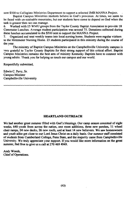sent \$500 to Collegiate Ministries Department to support a selected IMB MANNA Project.

Baptist Campus Ministries students believe in God's provision. At times, we seem to be faced with un-scaleable mountains, but our students have come to depend on God when the task is greater then we can manage.

Worked with 15 WMU groups from the Taylor County Baptist Association to provide 18 6. Commuter Lunches. Average student participation was around 75. Donations collected during these lunches accumulated to the \$500 sent to support the MANNA Project.

Organized and sent weekly teams into local nursing home. Students were regular visitors 7. to the Metzmeier Nursing Home. 23 students participated in this ministry during the course of the year.

The ministry of Baptist Campus Ministries on the Campbells ville University campus is very grateful to Taylor County Baptists for their strong support of this critical effort. Baptist Campus Ministries remains the best arm of ministry Kentucky Baptists have to connect with young adults. Thank you for helping us touch our campus and our world.

Respectfully submitted,

Edwin C. Pavy, Sr. Campus Minister Campbellsville University

#### **HEARTLAND OUTREACH**

We had another great summer filled with God's blessings. Our camp season consisted of eight weeks, 640 youth from across the nation, one room additions, three new porches, 11 wheel chair ramps, 24 new decks, 26 new roofs, and at least 14 new believers. We saw homeowners and youth alike get close to our Lord Jesus Christ on a daily basis. Our summer staff consisted of students from Cumberland College, Penn State, and the majority came from Campbellsville University. We truly appreciate your support. If you would like more information on the great summer, feel free to give us a call at 270 469 4949.

Andy Woods, Chief of Operations.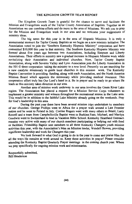#### THE KINGDOM GROWTH TEAM REPORT

The Kingdom Growth Team is grateful for the chance to serve and facilitate the Mission and Evangelism work of the Taylor County Association of Baptists. Together as an Association we can combine efforts and do more in the area of Missions. We ask you to pray for the Mission and Evangelism work in our area and we welcome your suggestions of ministry ideas.

The big news for this year is in the area of Hispanic Missions. It is truly a monumental moment for Taylor County Baptists as we begin on a new ministry initiative. The Association voted to join the "Southern Kentucky Hispanic Ministry" corporation and have committed \$10,000 this year to that ministry. The Southern Kentucky Hispanic Ministry was formed about five years ago between two Associations, including Simpson and Liberty Associations. Their efforts in ministry saw a gradual increase in Hispanic Mission work while revitalizing their Association and individual churches. Now, Taylor County Baptist Association, along with Severns Valley and Lynn Association join the Liberty Association in the 501 © three corporation taking the ministry to a new level. Presently we are searching for a new catalytic missionary to guide local churches in this mission work. The Kentucky Baptist Convention is providing funding, along with each Association, and the North America Mission Board which appoints the missionary while providing medical insurance. This cooperative effort truly has Our Lord's hand in it. Be in prayer and be ready to go where He leads as this ministry takes direction in our area.

Another area of mission work underway in our area involves the Green River Lake region. The Association has placed a request for a Mission Service Corps volunteers to implement a greater ministry and witness throughout the recreational season in the Lake area. This would be in addition to the faithful Lake Ministry already going on the weekends. Pray for God's leadership in this area.

During the past year there have been several mission trips undertaken by members of our churches. George Phillips went to Africa for a prayer walk around a Last Frontier nation and he went to Poland in July. Corrine Rogers went with many others to Brazil, Larry Rowell and a team from Campbellsville Baptist went to Burkina Faso, Michael, and Marilyn Goodwin went to Switzerland to lead in Vacation Bible School. Kentucky Heartland Outreach remains very active with many of our church members participating or helping out with food or facilities. Friendship Baptist sent members to all three Kentucky Changers youth mission activities this year, with the Association's Men on Mission leader, Wendell Bowen, providing significant leadership and work for Changers this year.

We look forward to what God is going to do in the year to come and praise Him for all the ways He remains at work around us. Keep these activities in prayer! Please consider attending the Kentucky Baptist Quarterly Prayer meetings in the coming church year. Where we pray specifically for ongoing mission work and missionaries.

Respectfully submitted, **Bill Henderson**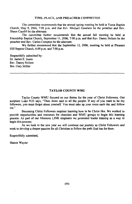#### TIME, PLACE, AND PREACHER COMMITTEE

The committee recommends that the annual spring meeting be held at Yuma Baptist Church, May 8, 2006, 7:00 p.m. and that Rev. Michael Goodwin be the preacher and Rev. Shaun Caudill be the alternate.

The committee further recommends that the annual fall meeting be held at Friendship Baptist Church, September 11, 2006, 7:00 p.m. and that Rev. Danny Nelson be the preacher and Rev. Carlos Compton be the alternate.

We further recommend that the September 12, 2006, meeting be held at Pleasant Hill Baptist Church, 4:00 p.m. and 7:00 p.m.

Respectfully submitted by: Dr. James E. Jones Rev. Danny Nelson Bro. Gary Miller

#### **TAYLOR COUNTY WMU**

Taylor County WMU focused on our theme for the year of Christ Followers. Our scripture Luke 9:23 says, "Then Jesus said to all the people: If any of you want to be my followers, you must forget about yourself. You must take up your cross each day and follow me"

Becoming Christ Followers requires learning how to be Christ like. We worked to provide opportunities and resources for churches and WMU groups to begin this learning process. As part of our Missions LINK emphasis we promoted leader training as a way to begin this process.

As we look to the new year we will continue our journey as Christ Followers and work to develop a deeper passion for all Christian to follow the path God has for them.

Respectfully submitted,

Sharon Wayne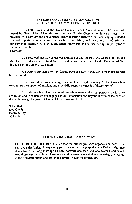#### **TAYLOR COUNTY BAPTIST ASSOCIATION RESOLUTIONS COMMITTEE REPORT 2005**

The Fall Session of the Taylor County Baptist Association of 2005 have been hosted by Green River Memorial and Fairview Baptist Churches with warm hospitality, provided with comfort and convenience, heard inspiring energetic, and challenging sermons, received reports of orderly and responsible stewardship, and heard reports of effective ministry in missions, benevolence, education, fellowship and service during the past year of life in our churches.

Therefore:

Be it resolved that we express our gratitude to Dr. Robert Clark, George Phillips and Mrs. Helen Henderson, and David Gaddie for their sacrificial work for the Kingdom of God through Taylor County Association.

We express our thanks to Rev. Danny Pace and Rev. Randy Jones for messages that have inspired us

Be it resolved that we encourage the churches of Taylor County Baptist Association to continue the support of missions and especially support the needs of disaster relief.

Be it also resolved that we commit ourselves anew to the high purpose to which we are called and in which we are engaged in our association and beyond it even to the ends of the earth through the grace of God in Christ Jesus, our Lord.

Submitted Don Gowin **Bobby Milby** Al Hardy

#### FEDERAL MARRIAGE AMENDMENT

LET IT BE FURTHER RESOLVED that the messengers with urgency and conviction call upon the United States Congress to act on our bequest that the Federal Marriage Amendment defining marriage as only between one man and one woman and which would prevent recognition of any other civil arrangements similar to marriage, be passed at the first opportunity and sent to the several States for ratification.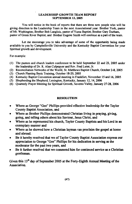#### **LEADERSHIP GROWTH TEAM REPORT SEPTEMBER 13, 2005**

You will notice in the book of reports that there are three new people who will be giving direction to the Leadership Team in the next Associational year: Brother York, pastor of Mt. Washington; Brother Bob Langlois, pastor of Yuma Baptist; Brother Gary Durham, pastor of Green River Baptist; and Brother Eugene Smith will continue as a part of the team.

Let me encourage you to take advantage of some of the opportunity being made available to you by Campbellsville University and the Kentucky Baptist Convention for your Spiritual growth and development.

For example:

- (1) The pastors and church leaders conference to be held September 22 and 23, 2005 under the leadership of Dr. R. Alan Culpepver and Rev. Fred Luter, Jr.
- (2) Reconciliation Networks of the World, St. Matthews Baptist Church, October 2-8, 2005
- (3) Church Planting Basic Training, October 18-20, 2005
- (4) Kentucky Baptist Convention annual meeting in Frankfort, November 15 and 16, 2005
- (5) Shepherding the Shepherd, Lexington, Kentucky, January 12, 14, 2006
- (6) Quarterly Prayer Meeting for Spiritual Growth, Severns Valley, January 27-28, 2006

#### **RESOLUTION**

- Where as George "Gee" Phillips provided effective leadership for the Taylor  $\bullet$ County Baptist Association, and
- Where as Brother Phillips demonstrated Christian living in praying, giving, going, and telling others about his Saviour, Jesus Christ, and
- Where as he represented his church, Taylor County Baptists and his Lord in an exemplary manner and
- Where as he showed how a Christian layman can proclaim the gospel at home and abroad.
- Be it hereby resolved that we of Taylor County Baptist Association express our appreciation to George "Gee" Phillips for his dedication in serving as the moderator for the past two years, and
- Be it further resolved that we commend him for continued service as a Christian gentleman.

Given this  $13<sup>th</sup>$  day of September 2005 at the Forty-Eighth Annual Meeting of the Association.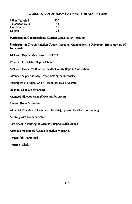#### **DIRECTOR OF MISSIONS REPORT FOR AUGUST 2005**

| Miles Traveled  | 330 |
|-----------------|-----|
| Telephone calls | 45  |
| Conferences     | 18  |
| Letters         | 38  |

Participant in Congregational Conflict Consultation Training.

Participant in Church Relation Council Meeting, Campbellsville University, Bible preview of Nehemiah

Met with Baptist Men Prayer Breakfast

Preached Friendship Baptist Church

Met with Executive Board of Taylor County Baptist Association

Attended Super Saturday Event, Lexington Kentucky

Participant in Ordination of Deacon at Lowell Avenue

Hospital Chaplain for a week

Attended Gideons Annual Meeting for pastors

**Funeral Home Visitation** 

Attended Chamber of Commerce Meeting, Speaker Senator Jim Bunning

Meeting with youth minister

Participant in meeting of Greater Campbellsville United

Attended meeting of P.A.R.T.icipation Ministries

Respectfully submitted,

Robert S. Clark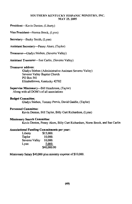#### SOUTHERN KENTUCKY HISPANIC MINISTRY, INC. MAY 25, 2005

President-Kevin Denton, (Liberty)

Vice President-Norma Brock, (Lynn)

Secretary—Becky Smith, (Lynn)

Assistant Secretary-Penny Akers, (Taylor)

Treasurer-Gladys Stieben, (Severns Valley)

**Assistant Treasurer**—Sue Carlin. (Severns Valley)

#### Treasurer address:

Gladys Stieben (Administrative Assistant Severns Valley) Severns Valley Baptist Church **PO Box 541** Elizabethtown, Kentucky 42702

#### Supervise Missionary—Bill Henderson, (Taylor)

Along with all DOM's of all associations

#### **Budget Committee:**

Gladys Stieben, Tommy Pervis, David Gaddie, (Taylor)

#### **Personnel Committee:**

Kevin Denton, Bill Taylor, Billy Curt Richardson, (Lynn)

#### **Missionary Search Committee:**

Kevin Denton, Penny Akers, Billy Curt Richardson, Norm Brock, and Sue Carlin

#### **Associational Funding Commitments per year:**

| Liberty        | \$15,000.   |
|----------------|-------------|
| Taylor         | 10,000.     |
| Severns Valley | 10,000.     |
| Lynn           | 5,000.      |
|                | \$40,000.00 |

Missionary Salary \$40,000 plus ministry expense of \$10,000.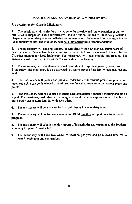#### SOUTHERN KENTUCKY HISPANIC MINISTRY INC.

Job description for Hispanic Missionary:

1. The missionary will assist the association in the creation and implementation of outreach ministries to Hispanics. These ministries will include but not limited to, identifying pockets of Hispanic in the ministry area and offering recommendations for evangelizing and organization local ministry points. The missionary will help implement these recommendations.

 $2.$ The missionary will develop leaders. He will identify the Christian education needs of new believers. Prospective leaders are to be identified and encouraged toward further Christian training for local leadership. The missionary will help provide this training. The missionary will serve in a supervisory role to facilitate this training.

 $3<sub>1</sub>$ The missionary will maintain a personal commitment to spiritual growth, prayer, and Bible study. The missionary is also expected to observe needs of his family, personal rest and health.

The missionary will preach and provide leadership at the various preaching points until 4. local leadership can be developed or a minister can be called to serve in the various preaching points.

The missionary will be expected to attend each association's annual's meeting and give a 5. report. The missionary will also be encouraged to create relationship with other churches so that he/they can become familiar with each other.

The missionary will be advocate for Hispanic issues in the ministry areas. 6.

The missionary will contact each association DOM monthly to report on activities and 7. progress.

The missionary will submit monthly reports of his activities and expenses to the Southern 8. Kentucky Hispanic Ministry Inc.

The missionary will have two weeks of vacation per year and be allowed time off to 9. attend conference and conventions.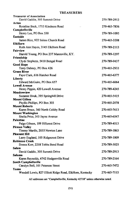## **TREASURERS**

| Treasurer of Association                                     |              |
|--------------------------------------------------------------|--------------|
| David Gaddie, 305 Summit Drive                               | 270-789-2913 |
| Acton                                                        |              |
| Rosaline Beck, 1715 Kindness Road                            | 270-465-7856 |
| Campbellsville                                               |              |
| Henry Lee, PO Box 530                                        | 270-789-1095 |
| <b>Eastside</b>                                              |              |
| James Rice, 922 Salem Church Road                            | 270-465-3208 |
| <b>ElkHorn</b>                                               |              |
| Ruth Ann Hayes, 3145 ElkHorn Road<br><b>Fairview</b>         | 270-789-2113 |
| Harold Young, PO Box 237 Mannsville, KY.                     | 270-789-1297 |
| Friendship                                                   |              |
| Clyde Stephens, 5410 Bengal Road                             | 270-789-0437 |
| <b>Good Hope</b>                                             |              |
| Terry Dabney, PO Box 426                                     | 270-465-2933 |
| <b>Green River</b>                                           |              |
| Faye Clark, 616 Hatcher Road                                 | 270-465-6377 |
| Liberty                                                      |              |
| Edward McGuire, PO Box 657                                   | 270-465-6064 |
| <b>Lowell Avenue</b>                                         |              |
| Henry Pippin, 420 Lowell Avenue                              | 270-789-4245 |
| Meadowview                                                   |              |
| Suzanne Houk, 395 Springhill Drive                           | 270-465-5415 |
| <b>Mount Gilboa</b>                                          |              |
| Phyllis Phillips, PO Box 303                                 | 270-465-2078 |
| <b>Mount Roberts</b>                                         |              |
| Karen Bruce, 360 North Colsby Road                           | 270-465-7613 |
| <b>Mount Washington</b>                                      |              |
| Shelia Price, 303 Jayne Avenue                               | 270-465-6547 |
| <b>Palestine</b>                                             |              |
| Paige Gibson, 109 Hillcrest Drive                            | 270-789-4513 |
| Pitman Vallev                                                |              |
| Timmy Mardis, 2035 Newton Lane<br><b>Pleasant Hill</b>       | 270-789-1863 |
|                                                              | 270-789-1009 |
| Larry England, 105 Ridgecrest Drive<br><b>Robinson Creek</b> |              |
| Donna Kerr, 2218 Tebbs Bend Road                             | 270-789-3025 |
| Salem                                                        |              |
| David Gaddie, 305 Summit Drive                               | 270-789-2913 |
| Saloma                                                       |              |
| Karen Reynolds, 4742 Hodgenville Road                        | 270-789-2164 |
| South Campbellsville                                         |              |
| Carolyn Bell, 101 Peterson Street                            | 270-465-7472 |
| Yuma                                                         |              |
| Wendell Lewis, 827 Elliott Ridge Road, ElkHorn, Kentucky     | 270-465-7115 |
|                                                              |              |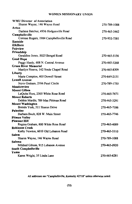## **WOMEN MISSIONARY UNION**

| <b>WMU Director of Association</b>       |              |
|------------------------------------------|--------------|
| Sharon Wayne, 146 Wayne Road             | 270-789-1088 |
| Acton                                    |              |
| Darlene Batcher, 4936 Hodgenville Road   | 270-465-3462 |
| Campbellsville                           |              |
| Corinne Rogers, 1984 Campbellsville Road | 270-932-7381 |
| <b>Eastside</b>                          |              |
| <b>ElkHorn</b>                           |              |
| <b>Fairview</b>                          |              |
| Friendship                               |              |
| Geraldine Jones, 5025 Bengal Road        | 270-465-5156 |
| <b>Good Hope</b>                         |              |
| Peggy Hardy, 608 N. Central Avenue       | 270-465-3268 |
| <b>Green River Memorial</b>              |              |
| Marilyn Shreve, 142 Soule Chapel Road    | 270-465-8309 |
| Liberty                                  |              |
| Marie Compton, 405 Dowell Street         | 270-849-2131 |
| <b>Lowell Avenue</b>                     |              |
| Joyce Graham, 2106 Pearl Circle          | 270-789-1750 |
| Meadowview                               |              |
| <b>Mount Gilboa</b>                      |              |
| LaQuita Hunt, 2305 White Rose Road       | 270-465-7671 |
| <b>Mount Roberts</b>                     |              |
| Debbie Mardis, 789 Mac Pittman Road      | 270-465-3291 |
| <b>Mount Washington</b>                  |              |
| Brenda York, 311 Sharon Drive            | 270-465-7186 |
| <b>Palestine</b>                         |              |
| Barbara Bault, 828 W. Main Street        | 270-465-7746 |
| Pitman Valley                            |              |
| Pleasant Hill                            |              |
| Regina Graham, 800 White Rose Road       | 270-465-4009 |
| <b>Robinson Creek</b>                    |              |
| Kathy Newton, 6010 Old Lebanon Road      | 270-465-3310 |
| Salem                                    |              |
| Sharon Wayne, 146 Wayne Road             | 270-789-1088 |
| Saloma                                   |              |
| Mildred Gibson, 915 Lebanon Avenue       | 270-465-0920 |
| South Campbellsville                     |              |
| Yuma                                     |              |
| Karen Wright, 35 Linda Lane              | 270-465-6281 |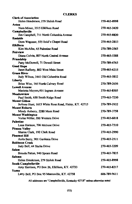## **CLERKS**

| <b>Clerk of Association</b>                            |              |
|--------------------------------------------------------|--------------|
| Helen Henderson, 279 Shiloh Road                       | 270-465-8998 |
| Acton                                                  |              |
| Nora Minor, 3515 ElkHorn Road                          | 270-465-3420 |
| Campbellsville                                         |              |
| Jim Campbell, 711 North Columbia Avenue                | 270-465-8820 |
| <b>Eastside</b>                                        |              |
| Dora Wagoner, 555 Reid's Chapel Road                   | 270-465-2813 |
| <b>ElkHorn</b>                                         |              |
| Kim McAfee, 65 Palestine Road                          | 270-789-2565 |
| Fairview                                               |              |
| Diana Colvin, 807 North Central Avenue                 | 270-465-5388 |
| Friendship                                             |              |
| Patty McDowell, 71 Dowell Street                       | 270-789-4765 |
| <b>Good Hope</b>                                       |              |
| Janet Rafferty, 802 West Main Street                   | 270-465-6215 |
| <b>Green River</b>                                     |              |
| Judy Wilson, 3441 Old Columbia Road                    | 270-465-5812 |
| Liberty                                                |              |
| Brian Wise, 160 North Calvary Road                     | 270-789-2656 |
| <b>Lowell Avenue</b>                                   |              |
| Marietta Moyers, 401 Ingram Avenue                     | 270-465-8505 |
| <b>Meadowview</b>                                      |              |
| Paul Smith, 650 Smith Ridge Road                       | 270–465-7250 |
| <b>Mount Gilboa</b>                                    |              |
| JoAnne Hunt, 1615 White Rose Road, Finley, KY. 42715   | 270-789-2932 |
| <b>Mount Roberts</b>                                   |              |
| Mindy Auberry, 2280 Moss Road                          | 270-789-3758 |
| <b>Mount Washington</b>                                | 270-465-6818 |
| Verlas Miller, 200 Western Drive<br><b>Palestine</b>   |              |
|                                                        | 270-465-7510 |
| Lena Harmon, 706 Melrose Drive<br><b>Pitman Valley</b> |              |
| Sharon Clark, 192 Clark Road                           | 270-465-2990 |
| Pleasant Hill                                          |              |
| Anita Berry, 901 Gardenia Drive                        | 270-465-2511 |
| <b>Robinson Creek</b>                                  |              |
| Judy Bell, 44 Shelia Drive                             | 270-465-3209 |
| Salem                                                  |              |
| Brenda Patton, 940 Spears Road                         | 270-465-7835 |
| Saloma                                                 |              |
| Helen Henderson, 279 Shiloh Road                       | 270-465-8998 |
| <b>South Campbellsville</b>                            |              |
| Amy Harrison, PO Box 26, ElkHorn, KY. 42733            | 270-465-8217 |
| Yuma                                                   |              |
| Larry Bell, PO Box 95 Mannsville, KY. 42758            | 606-789-9611 |
|                                                        |              |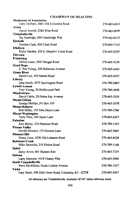## **CHAIRMAN OF DEACONS**

| <b>Moderator of Association</b>                        |              |
|--------------------------------------------------------|--------------|
| Gary Durham, 3441 Old Columbia Road                    | 270-465-6032 |
| Acton                                                  |              |
| David Arnold, 2384 Wise Road                           | 270-465-6976 |
| Campbellsville                                         |              |
| Jay Eastridge, 200 Cambridge Way                       | 270-465-9372 |
| Eastside                                               |              |
| Gordon Clark, 450 Clark Road                           | 270-465-7713 |
| ElkHorn                                                |              |
| Ricky Harden, 555 E. Meadow Creek Road                 | 270-465-2255 |
| Fairview                                               |              |
| Friendship                                             |              |
| Milton Jones, 5025 Bengal Road                         | 270-465-5156 |
| <b>Good Hope</b>                                       |              |
| E. Poe Young, 320 Robinson Avenue                      | 270-465-4443 |
| <b>Green River</b>                                     |              |
| David Cox, 453 Martin Road<br>Liberty                  | 270-465-6533 |
| John Smith, 5075 Spurlington Road                      |              |
| Lowell Avenue                                          | 270-789-2865 |
| Troy Young, 20 Bridlewood Park                         | 270-789-3048 |
| Meadowview                                             |              |
| David Cable, 29 Debra Kay Avenue                       | 270-465-2250 |
| <b>Mount Gilboa</b>                                    |              |
| George Phillips, PO Box 303                            | 270-465-2078 |
| <b>Mount Roberts</b>                                   |              |
| Bob Milby, 135 John Deere Lane                         | 270-789-2786 |
| <b>Mount Washington</b>                                |              |
| Terry Price, 303 Jayne Lane                            | 270-465-6547 |
| Palestine                                              |              |
| Kim Bailey, 335 Palestine Road                         | 270-789-1107 |
| Pitman Valley                                          |              |
| Orville Newton, 172 Newton Lane                        | 270-465-3844 |
| Pleasant Hill                                          |              |
| Sonny Cave, 3356 Old Lebanon Road                      | 270-465-8338 |
| Robinson Creek                                         |              |
| Mike Sprowles, 210 Pickett Road                        | 270-789-1148 |
| Salem                                                  |              |
| Jacky Arvin, 601 Hunters Run<br>Saloma                 | 270-465-7139 |
|                                                        |              |
| Larry Marcum, 1019 Chaney Pike<br>South Campbellsville | 270-465-3946 |
| Steve McAllister, South Central Avenue                 | 270-789-1537 |
| Yuma                                                   |              |
| Gary Bault, 199 Gibb Greer Road, Columbia, KY. 42728   | 270-465-3927 |
|                                                        |              |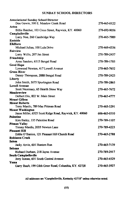## **SUNDAY SCHOOL DIRECTORS**

| <b>Associational Sunday School Director</b>                          |              |
|----------------------------------------------------------------------|--------------|
| Don Gowin, 500 E. Meadow Creek Road                                  | 270-465-0122 |
| Acton                                                                |              |
| Billie Batcher, 103 Cross Street, Raywick, KY. 40060                 | 270-692-9056 |
| Campbellsville                                                       |              |
| Larry Noe, 260 Cambridge Way                                         | 270-465-7989 |
| Eastside                                                             |              |
| <b>ElkHorn</b>                                                       |              |
| Michael Julian, 100 Lula Drive                                       | 270-469-4336 |
| <b>Fairview</b>                                                      |              |
| Larry Willis, 207 Jan Street                                         | 270-789-2457 |
| Friendship                                                           |              |
| Anne Sanders, 6515 Bengal Road                                       | 270-789-1705 |
| <b>Good Hope</b>                                                     |              |
| Lynwood Newton, 417 Lowell Avenue                                    | 270–465–7652 |
| <b>Green River</b>                                                   |              |
| Danny Thompson, 2888 Bengal Road                                     | 270-789-2423 |
| Liberty                                                              |              |
| John Smith, 5075 Spurlington Road                                    | 270-789-2865 |
| <b>Lowell Avenue</b>                                                 |              |
| Scott Necessary, 65 Hearth Stone Way                                 | 270-465-7672 |
| Meadowview                                                           |              |
| Delbert Dix, 822 W. Main Street                                      | 270–465–4777 |
| <b>Mount Gilboa</b>                                                  |              |
| <b>Mount Roberts</b>                                                 |              |
| Terry Mardis, 789 Mac Pittman Road                                   | 270-465-3291 |
| <b>Mount Washington</b>                                              |              |
| Jason Miller, 6325 Scott Ridge Road, Raywick, KY. 40060              | 606-465-0310 |
| <b>Palestine</b>                                                     |              |
| Kim Bailey, 335 Palestine Road                                       | 270-789-1107 |
| <b>Pitman Valley</b>                                                 |              |
| Timmy Mardis, 2035 Newton Lane                                       | 270-789-4223 |
| <b>Pleasant Hill</b>                                                 |              |
| Eddie O'Banion, 121 Pleasant Hill Church Road                        | 270-465-2788 |
| <b>Robinson Creek</b><br>Salem                                       |              |
|                                                                      | 270-465-7139 |
| Jacky Arvin, 601 Hunters Run<br>Saloma                               |              |
|                                                                      | 270-789-2917 |
| Richard Durham, 218 Jayne Avenue                                     |              |
| <b>South Campbellsville</b><br>Jerry Inman, 601 South Central Avenue | 270-465-4529 |
| Yuma                                                                 |              |
|                                                                      | 270-465-3927 |
| Garry Bault, 199 Gibb Greer Road, Columbia, KY. 42728                |              |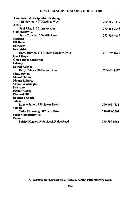## **DISCIPLESHIP TRAINING DIRECTORS**

| <b>Associational Discipleship Training</b> |              |
|--------------------------------------------|--------------|
| Jeff Newton, 407 Hastings Way              | 270-789-1139 |
| Acton                                      |              |
| Paul Pike, 210 Jayne Avenue                | 270-465-2948 |
| <b>Campbellsville</b>                      |              |
| Susie Crowder, 200 Mile Lane               | 270-469-4019 |
| <b>Eastside</b>                            |              |
| <b>ElkHorn</b>                             |              |
| <b>Fairview</b>                            |              |
| Friendship                                 |              |
| Barry Blevins, 115 Hidden Meadow Drive     | 270-789-1673 |
| <b>Good Hope</b>                           |              |
| <b>Green River Memorial</b>                |              |
| Liberty                                    |              |
| <b>Lowell Avenue</b>                       |              |
| Kelly Calmes, 86 Eunice Drive              | 270-465-4527 |
| Meadowview                                 |              |
| <b>Mount Gilboa</b>                        |              |
| <b>Mount Roberts</b>                       |              |
| <b>Mount Washington</b>                    |              |
| <b>Palestine</b>                           |              |
| <b>Pitman Valley</b>                       |              |
| <b>Pleasant Hill</b>                       |              |
| <b>Robinson Creek</b>                      |              |
| Salem                                      |              |
| Ronnie Patton, 940 Spears Road             | 270-465-7835 |
| Saloma                                     |              |
| Cathy Chowning, 512 Fern Drive             | 270-789-2707 |
| <b>South Campbellsville</b>                |              |
| Yuma                                       |              |
| Shirley Hughes, 3496 Speck Ridge Road      | 270-789-9765 |
|                                            |              |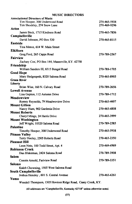## **MUSIC DIRECTORS**

| <b>Associational Directors of Music</b>                     |              |
|-------------------------------------------------------------|--------------|
| Tim Hooper, 308 Underwood Road                              | 270-465-5938 |
| Tim Shockley, 274 Snow Lane                                 | 270-469-9296 |
| Acton                                                       |              |
| James Beck, 1715 Kindness Road                              | 270-465-7856 |
| Campbellsville                                              |              |
| David Johnson, PO Box 530                                   | 270-465-8115 |
| <b>Eastside</b>                                             |              |
| Tina Meece, 614 W. Main Street                              |              |
| ElkHorn                                                     |              |
| Greg Ford, 265 Capps Road                                   | 270-789-2567 |
| Fairview                                                    |              |
| Zachary Cox, PO Box 144, Mannsville, KY. 42758              |              |
| Friendship                                                  |              |
| William Sanders III, 6515 Bengal Road                       | 270-789-1705 |
| <b>Good Hope</b>                                            |              |
| Mary Hedgespeth, 8320 Saloma Road                           | 270-465-8905 |
| <b>Green River</b>                                          |              |
| Liberty                                                     |              |
| Brian Wise, 160 N. Calvary Road                             | 270-789-2656 |
| <b>Lowell Avenue</b>                                        |              |
| Lisa Gupton, 112 Autumn Drive                               | 270-789-1712 |
|                                                             |              |
| <b>Meadowview</b>                                           |              |
| Romey Reynolds, 79 Meadwoview Drive                         | 270-465-4607 |
| <b>Mount Gilboa</b>                                         |              |
| Nancy Hunt, 902 Gardenia Drive                              | 270-465-4808 |
| <b>Mount Roberts</b>                                        |              |
| Cheryl Mings, 24 Harris Drive                               | 270-465-3999 |
| <b>Mount Washington</b>                                     |              |
| Jeff Wright, 10520 Saloma Road                              | 270-789-2585 |
| <b>Palestine</b>                                            |              |
| Timothy Hooper, 308 Underwood Road                          | 270-465-5938 |
| <b>Pitman Valley</b>                                        |              |
| Terry Dooley, 2505 Roberts Road                             | 270-465-2350 |
| <b>Pleasant Hill</b>                                        |              |
| Leon Neto, 100 Todd Street, Apt. 4                          | 270-469-4969 |
| <b>Robinson Creek</b>                                       |              |
| Dan Blakeman, 2424 Saloma Road                              | 270-789-3908 |
| Salem                                                       |              |
| Connie Arnold, Fariview Road                                | 270-789-3351 |
| Saloma                                                      |              |
| Kaleb Chowning, 1505 West Saloma Road                       |              |
| <b>South Campbellsville</b>                                 |              |
| Joshua Hensley, 601 S. Central Avenue                       | 270-465-4261 |
| Yuma                                                        |              |
|                                                             |              |
| Wendell Thompson, 1305 Hovious Ridge Road, Casey Creek, KY. |              |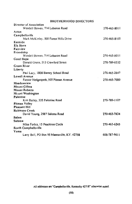**BROTHERHOOD DIRECTORS** 

| Director of Association                     |              |
|---------------------------------------------|--------------|
| Wendell Bowen, 714 Lebanon Road             | 270-465-8011 |
| Acton                                       |              |
| Campbellsville                              |              |
| Mark McKinley, 500 Forest Hills Drive       | 270-465-8105 |
| Eastside                                    |              |
| Elk Horn                                    |              |
| Fairview                                    |              |
| Friendship                                  |              |
| Wendell Bowen, 714 Lebanon Road             | 270-465-8011 |
| Good Hope                                   |              |
| Donald Green, 213 Crawford Street           | 270-789-0532 |
| Green River                                 |              |
| Liberty                                     |              |
| Paul Lacy, 1808 Barney School Road          | 270-465-2647 |
| Lowell Avenue                               |              |
| Forster Hedgespeth, 505 Pitman Avenue       | 270-465-7000 |
| Meadowview                                  |              |
| Mount Gilboa                                |              |
| <b>Mount Roberts</b>                        |              |
| Mcunt Washington                            |              |
| Palestine                                   |              |
| Kim Bailey, 335 Palestine Road              | 270-789-1107 |
| Pitman Valley<br><b>Pleasant Hill</b>       |              |
|                                             |              |
| <b>Robinson Creek</b>                       |              |
| David Young, 2987 Saloma Road               | 270-465-7834 |
| Salem<br>Saloma                             |              |
|                                             |              |
| Mike Forbis, 15 Peachtree Circle            | 270-465-6245 |
| South Campbellsville                        |              |
| Yuma                                        |              |
| Larry Bell, PO Box 95 Mannsville, KY. 42758 | 606-787-9611 |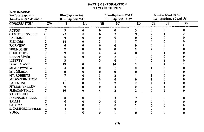## **BAPTISM INFORMATION TAYLOR COUNTY**

| Items Reported:<br>3-Total Baptisms<br>3A-Baptism 5 & Under |    | 3B-Baptisms 6-8<br>3C-Baptisms 9-11 |    |    | 3D-Baptisms 12-17<br>3E-Baptisms 18-29 |    | 3F-Baptisms 30-59<br>3G-Baptisms 60 and Up |    |    |
|-------------------------------------------------------------|----|-------------------------------------|----|----|----------------------------------------|----|--------------------------------------------|----|----|
| <b>CONGREATION</b>                                          | CM |                                     | 3А | 3B | 3 <sup>C</sup>                         | 3D | 3E                                         | 3F | 3G |
| <b>ACTON</b>                                                |    |                                     | 0  |    |                                        |    |                                            |    |    |
| <b>CAMPBELLSVILLE</b>                                       |    | 27                                  |    |    |                                        |    |                                            |    |    |
| <b>EASTSIDE</b>                                             |    |                                     |    |    |                                        |    |                                            |    |    |
| <b>ELKHORN</b>                                              |    |                                     |    |    |                                        |    |                                            |    |    |
| <b>FAIRVIEW</b>                                             |    |                                     |    |    |                                        |    |                                            |    |    |
| <b>FRIENDSHIP</b>                                           |    |                                     |    |    |                                        |    |                                            |    |    |
| <b>GOOD HOPE</b>                                            |    |                                     |    |    |                                        |    |                                            |    |    |
| <b>GREEN RIVER</b>                                          |    |                                     |    |    |                                        |    |                                            |    |    |
| <b>LIBERTY</b>                                              |    |                                     |    |    |                                        |    |                                            |    |    |
| LOWELL AVE.                                                 |    | 19                                  |    |    |                                        |    |                                            |    |    |
| MEADOWVIEW                                                  |    |                                     |    |    |                                        |    |                                            |    |    |
| MT. GILBOA                                                  |    |                                     |    |    |                                        |    |                                            |    |    |
| <b>MT. ROBERTS</b>                                          |    |                                     |    |    |                                        |    |                                            |    |    |
| MT.WASHINGTON                                               |    |                                     |    |    |                                        |    |                                            |    |    |
| <b>PALESTINE</b>                                            |    |                                     |    |    |                                        |    |                                            |    |    |
| PITMAN VALLEY                                               |    |                                     |    |    |                                        |    |                                            |    |    |
| PLEASANT HILL                                               | Ċ  | 10                                  |    |    |                                        |    |                                            |    |    |
| <b>RAIKES HILL</b>                                          |    |                                     |    |    |                                        |    |                                            |    |    |
| <b>ROBINSON CREEK</b>                                       | C  |                                     |    |    |                                        |    |                                            |    |    |
| <b>SALLM</b>                                                |    |                                     |    |    |                                        |    |                                            |    |    |
| <b>SALOMA</b>                                               |    |                                     |    |    |                                        |    |                                            |    |    |
| S. CAMPBELLSVILLE                                           |    |                                     |    |    |                                        |    |                                            |    |    |
| <b>YUMA</b>                                                 |    |                                     |    |    |                                        |    |                                            |    |    |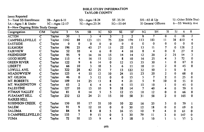## **BIBLE STUDY INFORMATION TAYLOR COUNTY**

## Items Reported

| 5-Total SS Enrollment<br>5B-- Ages 6-11 |    | 5D-Ages 18-24       |      | SF-35-54 |               | 5H-65 & Up |          |                | 5J--Other Bible Study |     |                     |               |          |     |                  |
|-----------------------------------------|----|---------------------|------|----------|---------------|------------|----------|----------------|-----------------------|-----|---------------------|---------------|----------|-----|------------------|
| 5A-Ages 5 & Under                       |    | $5C - Ages$ $12-17$ |      |          | 5E-Ages 25-34 |            |          | $5G - 55 - 64$ |                       |     | 51 General Officers |               |          |     | 6-SS Weekly Ave. |
| 8-New Ongoing Bible Study Groups        |    |                     |      |          |               |            |          |                |                       |     |                     |               |          |     |                  |
| Congregation                            | CM | Taylor              | 5    | 5A       | 5B            | 5C         | 5D       | 5E             | 5F                    | 5G  | 5H                  | 51            | 5J       | 6   | 8                |
| <b>ACTON</b>                            | С  | <b>Taylor</b>       | 30   |          | 3             | 4          | 3        | $\overline{2}$ | 2                     | 8   | 7                   | 0             | 0        | 18  | 2                |
| CAMPBELLSVILLE                          | C  | Taylor              | 1142 | 88       | 123           | 121        | 75       | 220            | 170                   | 113 | 183                 | $\mathbf{11}$ | 38       | 610 |                  |
| <b>EASTSIDE</b>                         |    | Taylor              | 0    | 0        | 0             | 0          | $\bf{0}$ | 0              | 0                     | 0   | 0                   | 0             | $\Omega$ | 0   |                  |
| <b>ELKHORN</b>                          |    | Taylor              | 196  | 25       | 45            | 27         | 11       | 22             | 35                    | 13  | 11                  |               | 0        | 128 |                  |
| <b>FAIRVIEW</b>                         |    | Taylor              | 52   | 10       | 4             | 6          | 0        | 4              | 16                    | 8   | 4                   | 0             | 0        | 27  |                  |
| <b>FRIENDSHIP</b>                       | c  | Taylor              | 95   | 9        | 14            | 16         | 15       | 14             | 14                    | 12  | 20                  |               | 25       | 54  |                  |
| <b>GOOD HOPE</b>                        | c  | Taylor              | 115  |          | 16            | 15         | 12       | 8              | 10                    | 16  | 25                  |               | 5        | 72  |                  |
| <b>GREEN RIVER</b>                      | c  | Taylor              | 122  | 9        | 6             | 14         | 0        | 12             | 15                    | 35  | 30                  |               | 0        | 87  | 0                |
| <b>LIBERTY</b>                          | c  | Taylor              | 66   | 10       | 3             | 10         |          | 6              | 11                    | 10  | 11                  |               | 0        | 45  |                  |
| LOWELL AVE.                             | c  | Taylor              | 322  | 28       | 42            | 25         |          | 13             | 122                   | 32  | 50                  |               | 0        | 0   |                  |
| MEADOWVIEW                              | c  | Taylor              | 125  |          | 15            | 12         | 10       | 24             | 15                    | 23  | 20                  |               | 0        | 68  | O                |
| MT. GILBOA                              | c  | Taylor              | 46   | 0        | 5             | 12         | 0        | 0              | 15                    |     |                     |               | 0        | 25  | 0                |
| MT. ROBERTS                             | c  | Taylor              | 109  | 14       | 25            | 13         |          |                | 21                    |     | 9                   | 10            | 0        | 55  |                  |
| MT. WASHINGTON                          | c  | Taylor              | 65   | 2        | 6             | 4          |          | 6              | 15                    | 15  | 10                  |               | 0        | 45  |                  |
| <b>PALESTINE</b>                        | c  | Taylor              | 127  | 10       | 15            | 10         | 9        | 18             | 14                    | 7   | 40                  |               | 0        | 79  | 0                |
| PITMAN VALLEY                           | c  | Taylor              | 81   | 8        | 14            | 5          | 5        | 12             | 15                    | 10  | 12                  |               | 0        | 66  | 0                |
| PLEASANT HILL                           | c  | Taylor              | 232  | 12       | 24            | 21         | 15       | 10             | 58                    | 31  | 58                  | $\mathbf{c}$  | 0        | 165 | 0                |
| <b>RAIKES HILL</b>                      |    |                     |      |          |               |            |          |                |                       |     |                     |               |          |     |                  |
| ROBINSON CREEK                          | с  | Taylor              | 150  | 10       | 17            | 35         | 10       | 10             | 22                    | 16  | 25                  |               | 0        | 79  |                  |
| <b>SALEM</b>                            |    | Taylor              | 91   | 9        | 12            | 10         | 0        | 0              | 30                    | 12  | 18                  | 0             | 0        | 69  | 0                |
| <b>SALOMA</b>                           |    | <b>Taylor</b>       | 84   | 9        | 8             | 8          |          | 16             | 15                    | 10  | 9                   |               | 0        | 61  |                  |
| S-CAMPBELLSVILLEC                       |    | Taylor              | 155  |          | 9             | 15         |          | 5              | 30                    | 79  | 11                  |               | 0        | 147 |                  |
| YUMA                                    |    | Taylor              | 72   | 10       | 13            | 9          |          | 3              | 18                    | 5   | 10                  |               |          | 37  |                  |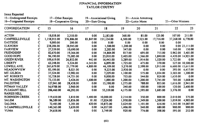## **FINANCIAL INFORMATION** TAYLOR COUTNY

| Items Reported<br>15—Undesignated Receipts<br>16-Tresignated Receipts |             | 17-Other Receipts<br>18-Cooperative Giving |            | 20—State Giving | 19-Associational Giving |          | 21-Annie Armstrong<br>22-Lottie Moon |           | 23-Other Missions |                    |  |
|-----------------------------------------------------------------------|-------------|--------------------------------------------|------------|-----------------|-------------------------|----------|--------------------------------------|-----------|-------------------|--------------------|--|
| CONGREGATION                                                          | $\mathbf C$ | 15                                         | 16         | 17              | 18                      | 19       | 20                                   | 21        | 22                | 23                 |  |
| <b>ACTON</b>                                                          | с           | 18,038.00                                  | 2,318.00   | 0.00            | 2,183.00                | 368.00   | 85.00                                | 125.00    | 107.00            | 211.00             |  |
| <b>CAMPBELLSVILLE</b>                                                 | с           | 1,158,913.00                               | 376,886.00 | 83,847.00       | 151,134.00              | 6,500.00 | 7,523.00                             | 17,716.00 | 37,268.00         | 6,778.00           |  |
| <b>EASTSIDE</b>                                                       | с           | 9.000.00                                   | 200.00     | 0.00            | 0.00                    | 0.00     | 0.00                                 | 0.00      | 0.00              |                    |  |
| <b>ELKHORN</b>                                                        | c           | 238,206.00                                 | 38,945.00  | 0.00            | 1,500.00                | 1,200.00 | 0.00                                 | 0.00      |                   | 0.0023.111.00      |  |
| <b>FAIRVIEW</b>                                                       |             | 27,339.00                                  | 10,690.00  | 0.00            | 2,283.00                | 547.00   | 0.00                                 | 0.00      | 160.00            | 150.00             |  |
| <b>FRIENDSHIP</b>                                                     |             | 82,670.00                                  | 19,366.00  | 0.00            | 14,864.00               | 817.00   | 695.00                               | 715.00    | 5.962.00          | 5,401.00           |  |
| <b>GOOD HOPE</b>                                                      | с           | 96,190.00                                  | 75,085.00  | 0.00            | 25,010.00               | 2,405.00 | 1,566.00                             | 1,840.00  |                   | 4.420.00 14.921.00 |  |
| <b>GREEN RIVER</b>                                                    |             | 109.619.00                                 | 26,852.00  | 442.00          | 16,443.00               | 3,289.00 | 1,914.00                             | 1,520.00  | 3,722.00          | 0.00               |  |
| <b>LIBERTY</b>                                                        | с           | 62.248.00                                  | 5.324.00   | 4.545.00        | 6.899.00                | 1,725.00 | 475.00                               | 370.00    |                   | 527.00 10,500.00   |  |
| LOWELL AVE.                                                           |             | 263,679.00                                 | 21,779.00  | 4,800.00        | 46,109.00               | 5.270.00 | 2,598.00                             | 3,915.00  |                   | 6,600.00 15,611.00 |  |
| <b>MEADOWVIEW</b>                                                     | с           | 83,199.00                                  | 8,021.00   | 0.00            | 9,225.00                | 2,930.00 | 0.00                                 | 0.00      | 393.00            | 6,457.00           |  |
| <b>MT. GILBOA</b>                                                     |             | 37,524.00                                  | 13,982.00  | 0.00            | 7,229.00                | 1,100.00 | 575.00                               | 1,034.00  | 3,503.00          | 1.300.00           |  |
| <b>MT. ROBERTS</b>                                                    | c           | 52,728.00                                  | 14,721.00  | 0.00            | 9.008.00                | 753.00   | 544.00                               | 920.00    | 1,630.00          | 0.00               |  |
| MT. WASHINGTON                                                        | c           | 73,133.00                                  | 2,426.00   | 1,600.00        | 1,000.00                | 1,200.00 | 1,200.00                             | 7,745.00  | 705.00            | 1.668.00           |  |
| <b>PALESTINE</b>                                                      | с           | 127,041.00                                 | 28,438.00  | 0.00            | 15,198.00               | 1,275.00 | 788.00                               | 855.00    | 1,616.00          | 2.941.00           |  |
| PITMAN VALLEY                                                         | c           | 56,9788.00                                 | 2,960.00   | 0.00            | 0.00                    | 240.00   | 100.00                               | 100.00    | 120.00            | 2,400.00           |  |
| PLEASANT HILL                                                         | Ċ           | 206,460.00                                 | 46,292.00  | 0.00            | 55,559.00               | 4.175.00 | 1,595.00                             | 1,685.00  | 3,376.00          | 0.00               |  |
| <b>RAIKES HILL</b>                                                    | с           |                                            |            |                 |                         |          |                                      |           |                   |                    |  |
| <b>ROBINSON CREEK</b>                                                 |             | 119,650.00                                 | 2,810.00   | 1.400.00        | 10,000.00               | 2.214.00 | 350.00                               | 800.00    | 2.010.00          | 375.00             |  |
| <b>SALEM</b>                                                          |             | 96,589.00                                  | 15,856.00  | 81.00           | 17,024.00               | 1,930.00 | 1,349.00                             | 1,500.00  | 3,059.00          | 4,985.00           |  |
| <b>SALOMA</b>                                                         |             | 72,485.00                                  | 5,301.00   | 420.00          | 10.873.00               | 3.624.00 | 1.101.00                             | 616.00    | 1,543.00          | 14,087.00          |  |
| <b>S-CAMPBELLSVILLE</b>                                               | c           | 140,565.00                                 | 3,630.00   | 0.00            | 14,057.00               | 1,406.00 | 240.00                               | 680.00    | 900.00            | 900.00             |  |
| <b>YUMA</b>                                                           | с           | 34,658.00                                  | 0.00       | 0.00            | 3,749.00                | 920.00   | 774.00                               | 398.00    | 595.00            | 252.00             |  |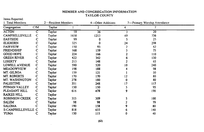| 1. Total Members      |     | 2-Resident Members |      | 4-Other Additions | 7-Primary Worship Attendance |                 |  |
|-----------------------|-----|--------------------|------|-------------------|------------------------------|-----------------|--|
| Congregation          | CMM | Taylor             |      | 2                 | 4                            |                 |  |
| <b>ACTON</b>          | C   | Taylor             | 59   | 36                | 3                            | $\overline{20}$ |  |
| CAMPBELLSVILLE        | C   | Taylor             | 1658 | 1213              | 49                           | 736             |  |
| <b>EASTSIDE</b>       | с   | Taylor             | 99   |                   |                              | 25              |  |
| <b>ELKHORN</b>        | с   | Taylor             | 325  |                   | 24                           | 298             |  |
| <b>FAIRVEIW</b>       | c   | Taylor             | 150  | 93                |                              | 62              |  |
| <b>FRIENDSHIP</b>     |     | Taylor             | 168  | 159               |                              | 75              |  |
| <b>GOOD HOPE</b>      | с   | Taylor             | 224  | 166               |                              | 110             |  |
| <b>GREEN RIVER</b>    |     | <b>Taylor</b>      | 422  | 342               |                              | 130             |  |
| <b>LIBERTY</b>        |     | Taylor             | 213  | 148               |                              | 65              |  |
| LOWELL AVENUE         | C   | Taylor             | 590  | 520               | 10                           | 240             |  |
| <b>MEADOWVIEW</b>     |     | Taylor             | 198  | 188               |                              | 98              |  |
| MT. GILBOA            |     | Taylor             | 159  | 121               |                              | 30              |  |
| MT. ROBERTS           |     | Taylor             | 170  | 170               | 12                           | 80              |  |
| MT. WASHINGTON        |     | Taylor             | 278  | 180               | 0                            | 80              |  |
| <b>PALESTINE</b>      |     | Taylor             | 351  | 248               | 17                           | 117             |  |
| PITMAN VALLEY         | C   | Taylor             | 150  | 150               |                              | 95              |  |
| PLEASANT HILL         | C   | Taylor             | 616  | 478               | 9                            | 190             |  |
| <b>RAIKES HILL</b>    | с   | Taylor             |      |                   |                              |                 |  |
| <b>ROBINSON CREEK</b> | С   | Taylor             | 315  | 309               |                              | 100             |  |
| <b>SALEM</b>          |     | Taylor             | 98   | 98                |                              | 79              |  |
| <b>SALOMA</b>         |     | Taylor             | 190  | 158               |                              | 80              |  |
| S-CAMPBELLSVILLE C    |     | Taylor             | 818  | 655               |                              | 140             |  |
| <b>YUMA</b>           |     | Taylor             | 150  | 115               | 0                            | 40              |  |

## MEMBER AND CONGREGATION INFORMATION TAYLOR COUNTY

Items Reported:

 $\sim$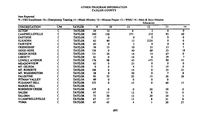#### OTHER PROGRAM INFORMATION **TAYLOR COUNTY**

**Item Reported** 

9-VBS Enrollment 10-Discipleship Training 11-Music Ministry 12-Mission Project 13-WMU 14-Men & Boys Mission

|                         |           |               |                 |                 | Education |      |    |    |
|-------------------------|-----------|---------------|-----------------|-----------------|-----------|------|----|----|
| <b>CONGREGATION</b>     | <b>CM</b> | <b>TAYLOR</b> | 9               | 10              | 11        | 12   | 13 | 14 |
| <b>ACTON</b>            |           | <b>TAYLOR</b> | $\overline{24}$ | $\overline{12}$ | 0         |      | 8  | O  |
| <b>CAMPBELLSVILLE</b>   |           | <b>TAYLOR</b> | 240             | 130             | 277       | 210  | 93 | 60 |
| <b>EASTSIDE</b>         |           | <b>TAYLOR</b> | 17              | o               |           |      |    |    |
| <b>ELKHORN</b>          |           | <b>TAYLOR</b> | 62              | 80              | 15        | 2326 |    |    |
| <b>FAIRVIEW</b>         |           | <b>TAYLOR</b> | 62              |                 |           |      |    |    |
| <b>FRIENDSHIP</b>       |           | <b>TAYLOR</b> | 56              | 15              | 10        | 21   | 13 |    |
| <b>GOOD HOPE</b>        |           | <b>TAYLOR</b> | 156             |                 | 40        | 60   | 25 |    |
| <b>GREEN RIVER</b>      |           | <b>TAYLOR</b> | 131             | 24              | 14        | 14   | 67 |    |
| <b>LIBERTY</b>          |           | <b>TAYLOR</b> | 61              |                 | 14        |      | 29 |    |
| LOWELL AVENUE           |           | <b>TAYLOR</b> | 176             | 98              | 45        | 475  | 90 |    |
| <b>MEADOWVIEW</b>       |           | <b>TAYLOR</b> | 62              |                 | 23        |      |    |    |
| MT. GILBOA              |           | <b>TAYLOR</b> |                 |                 |           |      | 19 |    |
| <b>MT. ROBERTS</b>      |           | <b>TAYLOR</b> | 104             |                 | 14        |      | 35 |    |
| <b>MT. WASHINGTON</b>   |           | <b>TAYLOR</b> | 38              |                 | 20        |      |    |    |
| <b>PALESTINE</b>        |           | <b>TAYLOR</b> | 85              |                 | 22        |      | 26 | 28 |
| PITMAN VALLEY           |           | <b>TAYLOR</b> | 60              |                 |           |      |    |    |
| PLEASANT HILL           |           | <b>TAYLOR</b> | 125             |                 | 15        |      | 40 | 15 |
| <b>RAIKES HILL</b>      |           | <b>TAYLOR</b> |                 |                 |           |      |    |    |
| <b>ROBINSON CREEK</b>   |           | <b>TAYLOR</b> | 129             |                 |           | 20   | 10 |    |
| <b>SALEM</b>            |           | <b>TAYLOR</b> | 67              | 17              | 12        |      | 31 |    |
| <b>SALOMA</b>           |           | <b>TAYLOR</b> | 72              | 30              | 12        | 20   | 10 |    |
| <b>S-CAMPBELLSVILLE</b> |           | <b>TAYLOR</b> | 67              |                 | 12        |      |    |    |
| <b>YUMA</b>             |           | <b>TAYLOR</b> | 67              | 45              |           |      | 30 |    |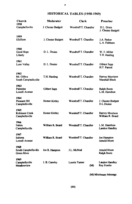# HISTORICAL TABLES (1958-1969)

| Church<br>1958                                 | Moderator            | <b>Clerk</b>              | Preacher                                 |
|------------------------------------------------|----------------------|---------------------------|------------------------------------------|
| Campbellsville                                 | J. Chester Badgett   | Woodruff T. Chandler      | D.L. Druin<br>J. Chester Badgett         |
| 1959<br>ElkHorn                                | J. Chester Badgett   | Woodruff T. Chandler      | J.A. Parker<br>L.A. Fishburn             |
| 1960<br>Good Hope<br>Liberty                   | D. L. Druien         | Woodruff T. Chandler      | W. E. Miller<br>T.H. Harding             |
| 1961<br>Lone Valley                            | D. L. Druien         | Woodruff T. Chandler      | Giblert Sapp<br>H.T. Parrott             |
| 1962<br>Mt. Gilboa<br>South Campbellsville     | T.H. Harding         | Woodruff T. Chandler      | Harvey Morrison<br><b>Marshall Black</b> |
| 1963<br>Palestine<br>Lowell Avenue             | Gilbert Sapp         | Woodruff T. Chandler      | <b>Ralph Boots</b><br>L.M. Hamilton      |
| 1964<br><b>Pleasant Hill</b><br>Campbellsville | <b>Homer Kirtley</b> | Woodruff T. Chandler      | J. Chester Badgett<br>D.L.Druien         |
| 1965<br>Robinson Creek<br>Campbellsville       | <b>Homer Kirtley</b> | Woodruff T. Chandler      | Harvey Morrison<br>William R. Beard      |
| 1966<br>Salem<br>Campbellsville                | William R. Beard     | Woodruff T. Chandler      | L.M. Hamilton<br>Landon Handley          |
| 1967<br>Saloma<br>Lowell Avenue                | William R. Beard     | Woodruff T. Chandler      | Joe Hampton<br><b>Arnold Moon</b>        |
| 1968<br>South Campbellsville<br>Green River    | Joe R. Hampton       | J.L. McNeal               | Arnold Moon<br>Ralph Boots               |
| 1969<br>Campbellsville<br>Meadowview           | J. B. Crawley        | Lonnie Turner<br><b>M</b> | Landon Handley<br><b>Roy Fowler</b>      |

(M) Missionary Message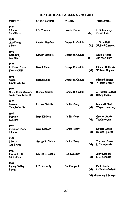## HISTORICAL TABLES (1970-1981)

| <b>CHURCH</b>                                        | <b>MODERATOR</b>       | <b>CLERK</b>        |     | <b>PREACHER</b>                          |
|------------------------------------------------------|------------------------|---------------------|-----|------------------------------------------|
| 1970<br>Elkhorn<br>Mt. Gilboa                        | J.B. Crawley           | Lonnie Turner       | (M) | L.D. Kennedy<br>David Jester             |
| 1971<br>Good Hope<br>Liberty                         | Landon Handley         | George R. Gaddie    | (M) | J. Gene Hall<br><b>Richard Clement</b>   |
| 1972<br>Friendship<br>Palestine                      | Landon Handley         | George R. Gaddie    | (M) | Hardin Hosey<br>Jim McKinley             |
| 1973<br>Robinson Creek<br>Pleasant Hill              | Darrell Hunt           | George R. Gaddie    | (M) | Charles R. Harris<br>Wilburn Hoglen      |
| 1974<br>Salem<br><b>Lowell Avenue</b>                | Darrell Hunt           | George R. Gaddie    | (M) | Richard Shields<br>William Bender        |
| 1975<br>Green River Memorial<br>South Campbellsville | <b>Richard Shields</b> | George R. Gaddie    | (M) | J. Chester Badgett<br><b>Bobby Evans</b> |
| 1976<br>Saloma<br>Campbellsville                     | <b>Richard Shields</b> | <b>Hardin Hosey</b> | (M) | Marshall Black<br>Wayne Hassenmyer       |
| 1977<br>Fairview<br>Palestine                        | Jerry Kibbons          | Hardin Hosey        | (M) | George Gaddie<br><b>Tacahiro Oue</b>     |
| 1978<br>Robinson Creek<br>Elkhorn                    | Jerry Kibbons          | Hardin Hosey        | (M) | Donald Gowin<br>Donald Spiegel           |
| 1979<br>Liberty<br>Good Hope                         | George R. Gaddie       | Hardin Hosey        | (M) | Thurmon Eaton<br>J. Alvin Hardy          |
| 1980<br>Pleasant Hill<br>Mt. Gilboa                  | George R. Gaddie       | L.D. Kennedy        | (M) | Jerry Kibbons<br>L.D. Kennedy            |
| 1981<br>Pitman Valley<br>Salem                       | L.D. Kennedy           | Jim Campbell        | (M) | Paul Homer<br>J. Chester Badgett         |
|                                                      |                        |                     |     | (M) Missionary Message                   |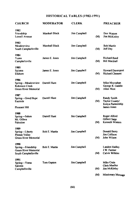## HISTORICAL TABLES (1982-1991)

| <b>CHURCH</b>                                                                    | MODERATOR            | <b>CLERK</b> |     | <b>PREACHER</b>                                           |
|----------------------------------------------------------------------------------|----------------------|--------------|-----|-----------------------------------------------------------|
| 1982<br>Friendship<br>Lowell Avenue                                              | Marshall Black       | Jim Campbell | (M) | Don Watson<br>Jim McKinley                                |
| 1983<br>Meadowview<br>South Campbellsville                                       | Marshall Black       | Jim Campbell | (M) | <b>Bob Martin</b><br>Jeff Day                             |
| 1984<br>Yuma<br>Campbellsville                                                   | James E. Jones       | Jim Campbell | (M) | Richard Reed<br>Bill Marshall                             |
| 1985<br>Saloma<br>Elkhorn                                                        | James E. Jones       | Jim Campbell | (M) | Howard Davenport<br><b>Richard Clement</b>                |
| 1986<br>Spring--Meadowview<br><b>Robinson Creek</b><br>Green River Memorial      | Darrell Hunt         | Jim Campbell | (M) | Mike Moynahan<br>George R. Gaddie<br>Allen West           |
| 1987<br>Spring-Good Hope<br>Eastside                                             | Darrell Hunt         | Jim Campbell | (M) | Randy Smith<br>Taylor County/<br>Kenya Partnership        |
| Pleasant Hill                                                                    |                      |              |     | James Jones                                               |
| 1988<br>Spring-Salem<br>Mt. Gilboa<br>Palestine                                  | Darrell Hunt         | Jim Campbell | (M) | Roger Alford<br>Gilbert Sapp<br><b>Kenneth Winters</b>    |
| 1989<br>Spring-Liberty<br>Pitman Valley<br><b>Green River Memorial</b>           | <b>Bob E. Martin</b> | Jim Campbell | (M) | Donald Berry<br>Jim Collison<br>John Wilson               |
| 1990<br>Spring-Friendship<br><b>Green River Memorial</b><br>South Campbellsville | <b>Bob E. Martin</b> | Jim Campbell | (M) | Landon Hadley<br>J.W. Farmer<br>Calvin Wilkins            |
| 1991<br>Spring-Yuma<br>Saloma<br>Campbellsville                                  | Tom Gupton           | Jim Campbell | (M) | Mike Crain<br><b>Chris Mueller</b><br><b>Jim McKinlev</b> |
|                                                                                  |                      |              | (M) | Missionary Message                                        |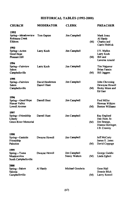## HISTORICAL TABLES (1992-2000)

| <b>CHURCH</b>                                                | <b>MODERATOR</b>                | CLERK                         |     | <b>PREACHER</b>                                                                  |
|--------------------------------------------------------------|---------------------------------|-------------------------------|-----|----------------------------------------------------------------------------------|
| 1992<br>Spring-Meadowview<br>Robinson Creek<br>Elkhorn       | Tom Gupton                      | Jim Campbell                  | (M) | Mark Jones<br>Al Hardy<br>Charles and<br>Carrie Hedrick                          |
| 1993<br>Spring-Acton<br>Good Hope<br><b>Pleasant Hill</b>    | Larry Koch                      | Jim Campbell                  | (M) | J.V. Mullen<br>Larry Koch<br><b>Bill</b> and<br>Laverne Arnold                   |
| 1994<br>Spring—Fairview<br>Salem<br>Campbellsville           | Larry Koch                      | Jim Campbell                  | (M) | Tim Najpaver<br>Brian Fannin<br><b>Bill Jaggers</b>                              |
| 1995<br>Spring-Fairview<br>Salem<br>Campbellsville           | David Henderson<br>Darrell Hunt | Jim Campbell                  | (M) | John Chowning<br>Dewayne Howell<br>Becky Mann and<br>Ed Garr                     |
| 1996<br>Spring-Good Hope<br>Pitman Valley<br>Lowell Avenue   | Darrell Hunt                    | Jim Campbell                  | (M) | Fred Miller<br>Herman Wilkins<br><b>Benton Williams</b>                          |
| 1997<br>Spring—Friendship<br>Liberty<br>Green River Memorial | Darrell Hunt                    | Jim Campbell                  | (M) | Ray England<br>Dan Hunt, Sr.<br>Jim Strange,<br>Dianna Derringer<br>J.B. Crawley |
| 1998<br>Spring-Eastside<br>Friendship<br>Palestine           | Dwayne Howell                   | Jim Campbell                  | (M) | <b>Jeff McCarty</b><br>James E. Jones<br>David Coppage                           |
| 1999<br>Spring—Yuma<br>Meadowview<br>South Campbellsville    | Dwayne Howell                   | Jim Campbell<br>Nancy Walters | (M) | George Gaddie<br>Linda Egbert                                                    |
| 2000<br>Spring—Salem<br>Saloma<br>Campbellsville             | Al Hardy                        | Michael Goodwin               | (M) | Gene Hall<br>Donnie Blick<br>Larrry Rowell                                       |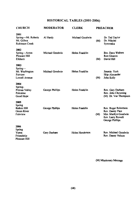## HISTORICAL TABLES (2001-2006)

| <b>CHURCH</b>                                                          | <b>MODERATOR</b>       | <b>CLERK</b>           |     | <b>PREACHER</b>                                                                                         |
|------------------------------------------------------------------------|------------------------|------------------------|-----|---------------------------------------------------------------------------------------------------------|
| 2001<br>Spring-Mt. Roberts<br>Mt. Gilboa<br><b>Robinson Creek</b>      | Al Hardy               | Michael Goodwin        | (M) | Dr. Ted Taylor<br>Dr. Nikolai<br>Syrovatka                                                              |
| 2002<br>Spring-Acton<br><b>Pleasant Hill</b><br>Elkhorn                | Michael Goodwin        | Helen Franklin         | (M) | <b>Bro. Dave Walters</b><br><b>Ron Gleaves</b><br>David Hill                                            |
| 2003<br>Spring--<br>Mt. Washington<br>Faiview<br>Lowell Avenue         | Michael Goodwin        | Helen Franklin         | (M) | Jimmie York<br>Skip Alexander<br>John Kelly                                                             |
| 2004<br>Spring-<br>Pitman Valley<br>Palestine<br>Good Hope             | <b>George Phillips</b> | Helen Franklin         |     | Rev. Gary Durham<br>Rev. John Chowning<br>(M) Dr. Van Thompson                                          |
| 2005<br>Spring<br><b>Raikes Hill</b><br><b>Green River</b><br>Fairview | <b>George Phillips</b> | Helen Franklin         | (M) | Rev. Roger Robertson<br>Rev. Danny Pace<br>Mrs. Marilyn Goodwin<br>Rev. Larry Rowell<br>George Phillips |
| 2006<br>Spring<br>Yuma<br>Friendship<br>Pleasant Hill                  | Gary Durham            | <b>Helen Henderson</b> |     | Rev. Michael Goodwin<br>Rev. Danny Nelson                                                               |

(M) Missionary Message